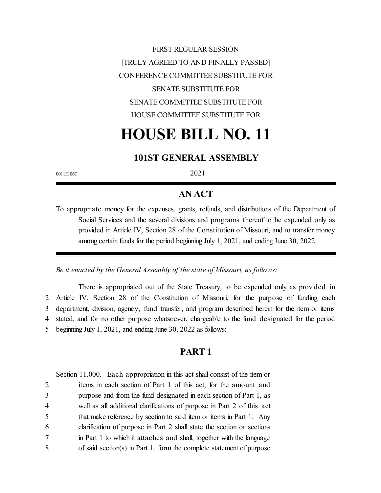FIRST REGULAR SESSION [TRULY AGREED TO AND FINALLY PASSED] CONFERENCE COMMITTEE SUBSTITUTE FOR SENATE SUBSTITUTE FOR SENATE COMMITTEE SUBSTITUTE FOR HOUSE COMMITTEE SUBSTITUTE FOR

# **HOUSE BILL NO. 11**

# **101ST GENERAL ASSEMBLY**

0011H.06T 2021

# **AN ACT**

To appropriate money for the expenses, grants, refunds, and distributions of the Department of Social Services and the several divisions and programs thereof to be expended only as provided in Article IV, Section 28 of the Constitution of Missouri, and to transfer money among certain funds for the period beginning July 1, 2021, and ending June 30, 2022.

*Be it enacted by the General Assembly of the state of Missouri, as follows:*

There is appropriated out of the State Treasury, to be expended only as provided in Article IV, Section 28 of the Constitution of Missouri, for the purpose of funding each department, division, agency, fund transfer, and program described herein for the item or items stated, and for no other purpose whatsoever, chargeable to the fund designated for the period beginning July 1, 2021, and ending June 30, 2022 as follows:

# **PART 1**

Section 11.000. Each appropriation in this act shall consist of the item or

 items in each section of Part 1 of this act, for the amount and purpose and from the fund designated in each section of Part 1, as well as all additional clarifications of purpose in Part 2 of this act that make reference by section to said item or items in Part 1. Any clarification of purpose in Part 2 shall state the section or sections in Part 1 to which it attaches and shall, together with the language of said section(s) in Part 1, form the complete statement of purpose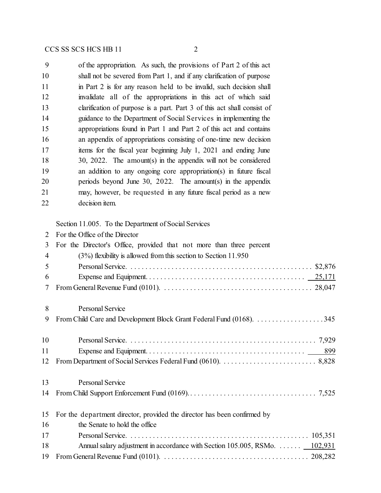of the appropriation. As such, the provisions of Part 2 of this act shall not be severed from Part 1, and if any clarification of purpose 11 in Part 2 is for any reason held to be invalid, such decision shall invalidate all of the appropriations in this act of which said 13 clarification of purpose is a part. Part 3 of this act shall consist of guidance to the Department of Social Services in implementing the appropriations found in Part 1 and Part 2 of this act and contains an appendix of appropriations consisting of one-time new decision items for the fiscal year beginning July 1, 2021 and ending June 30, 2022. The amount(s) in the appendix will not be considered an addition to any ongoing core appropriation(s) in future fiscal periods beyond June 30, 2022. The amount(s) in the appendix may, however, be requested in any future fiscal period as a new decision item.

Section 11.005. To the Department of Social Services

| $\mathcal{D}_{\mathcal{L}}$ | For the Office of the Director                                              |
|-----------------------------|-----------------------------------------------------------------------------|
| 3                           | For the Director's Office, provided that not more than three percent        |
| 4                           | $(3%)$ flexibility is allowed from this section to Section 11.950           |
| 5                           |                                                                             |
| 6                           |                                                                             |
| 7                           |                                                                             |
| 8                           | Personal Service                                                            |
| 9                           |                                                                             |
| 10                          |                                                                             |
| 11                          |                                                                             |
| 12                          |                                                                             |
| 13                          | Personal Service                                                            |
| 14                          |                                                                             |
| 15                          | For the department director, provided the director has been confirmed by    |
| 16                          | the Senate to hold the office                                               |
| 17                          |                                                                             |
| 18                          | Annual salary adjustment in accordance with Section 105.005, RSMo.  102,931 |
| 19                          |                                                                             |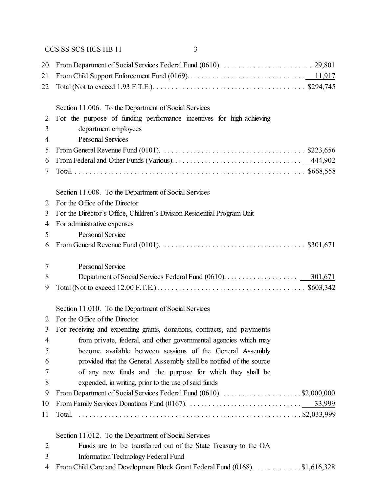| 20             |                                                                                                                     |  |  |
|----------------|---------------------------------------------------------------------------------------------------------------------|--|--|
| 21             |                                                                                                                     |  |  |
| 22             |                                                                                                                     |  |  |
|                | Section 11.006. To the Department of Social Services                                                                |  |  |
| $\overline{2}$ | For the purpose of funding performance incentives for high-achieving                                                |  |  |
| 3              | department employees                                                                                                |  |  |
| 4              | <b>Personal Services</b>                                                                                            |  |  |
| 5              | From General Revenue Fund (0101). $\ldots \ldots \ldots \ldots \ldots \ldots \ldots \ldots \ldots \ldots$ \$223,656 |  |  |
| 6              |                                                                                                                     |  |  |
| 7              |                                                                                                                     |  |  |
|                | Section 11.008. To the Department of Social Services                                                                |  |  |
| 2              | For the Office of the Director                                                                                      |  |  |
| 3              | For the Director's Office, Children's Division Residential Program Unit                                             |  |  |
| 4              | For administrative expenses                                                                                         |  |  |
| 5              | <b>Personal Service</b>                                                                                             |  |  |
| 6              |                                                                                                                     |  |  |
| 7              | Personal Service                                                                                                    |  |  |
| 8              | 301,671                                                                                                             |  |  |
| 9              |                                                                                                                     |  |  |
|                | Section 11.010. To the Department of Social Services                                                                |  |  |
| 2              | For the Office of the Director                                                                                      |  |  |
| 3              | For receiving and expending grants, donations, contracts, and payments                                              |  |  |
| $\overline{4}$ | from private, federal, and other governmental agencies which may                                                    |  |  |
| 5              | become available between sessions of the General Assembly                                                           |  |  |
| 6              | provided that the General Assembly shall be notified of the source                                                  |  |  |
| 7              | of any new funds and the purpose for which they shall be                                                            |  |  |
| 8              | expended, in writing, prior to the use of said funds                                                                |  |  |
| 9              |                                                                                                                     |  |  |
| 10             |                                                                                                                     |  |  |
| 11             | Total.                                                                                                              |  |  |
|                | Section 11.012. To the Department of Social Services                                                                |  |  |
| $\overline{2}$ | Funds are to be transferred out of the State Treasury to the OA                                                     |  |  |
| 3              | Information Technology Federal Fund                                                                                 |  |  |
| 4              | From Child Care and Development Block Grant Federal Fund (0168). \$1,616,328                                        |  |  |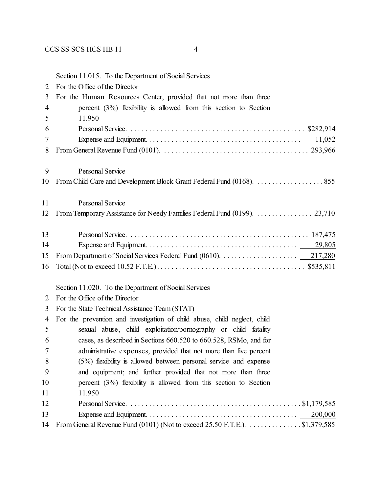|                | Section 11.015. To the Department of Social Services                       |
|----------------|----------------------------------------------------------------------------|
| 2              | For the Office of the Director                                             |
| 3              | For the Human Resources Center, provided that not more than three          |
| $\overline{4}$ | percent $(3%)$ flexibility is allowed from this section to Section         |
| 5              | 11.950                                                                     |
| 6              |                                                                            |
| 7              |                                                                            |
| 8              |                                                                            |
| 9              | <b>Personal Service</b>                                                    |
| 10             |                                                                            |
| 11             | Personal Service                                                           |
| 12             | From Temporary Assistance for Needy Families Federal Fund (0199). 23,710   |
| 13             |                                                                            |
| 14             |                                                                            |
| 15             |                                                                            |
| 16             |                                                                            |
|                | Section 11.020. To the Department of Social Services                       |
| 2              | For the Office of the Director                                             |
| 3              | For the State Technical Assistance Team (STAT)                             |
| 4              | For the prevention and investigation of child abuse, child neglect, child  |
| 5              | sexual abuse, child exploitation/pornography or child fatality             |
| 6              | cases, as described in Sections 660.520 to 660.528, RSMo, and for          |
|                | administrative expenses, provided that not more than five percent          |
| 8              | $(5\%)$ flexibility is allowed between personal service and expense        |
| 9              | and equipment; and further provided that not more than three               |
| 10             | percent $(3%)$ flexibility is allowed from this section to Section         |
| 11             | 11.950                                                                     |
| 12             |                                                                            |
| 13             | 200,000                                                                    |
| 14             | From General Revenue Fund (0101) (Not to exceed 25.50 F.T.E.). \$1,379,585 |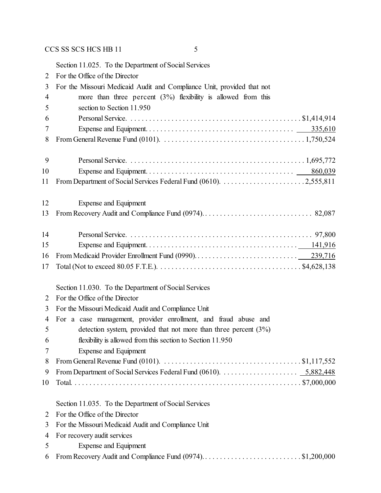Section 11.025. To the Department of Social Services For the Office of the Director For the Missouri Medicaid Audit and Compliance Unit, provided that not more than three percent (3%) flexibility is allowed from this section to Section 11.950 Personal Service. . . . . . . . . . . . . . . . . . . . . . . . . . . . . . . . . . . . . . . . . . . . . . . \$1,414,914 Expense and Equipment. . . . . . . . . . . . . . . . . . . . . . . . . . . . . . . . . . . . . . . . 335,610 From General Revenue Fund (0101). . . . . . . . . . . . . . . . . . . . . . . . . . . . . . . . . . . . . . . 1,750,524 Personal Service. . . . . . . . . . . . . . . . . . . . . . . . . . . . . . . . . . . . . . . . . . . . . . . . 1,695,772 Expense and Equipment. . . . . . . . . . . . . . . . . . . . . . . . . . . . . . . . . . . . . . . . 860,039 From Department of Social Services Federal Fund (0610). . . . . . . . . . . . . . . . . . . . . . . 2,555,811 Expense and Equipment From Recovery Audit and Compliance Fund (0974). . . . . . . . . . . . . . . . . . . . . . . . . . . . . . 82,087 Personal Service. . . . . . . . . . . . . . . . . . . . . . . . . . . . . . . . . . . . . . . . . . . . . . . . . . 97,800 Expense and Equipment. . . . . . . . . . . . . . . . . . . . . . . . . . . . . . . . . . . . . . . . . 141,916 From Medicaid Provider Enrollment Fund (0990). . . . . . . . . . . . . . . . . . . . . . . . . . . . 239,716 Total (Not to exceed 80.05 F.T.E.). . . . . . . . . . . . . . . . . . . . . . . . . . . . . . . . . . . . . . . \$4,628,138 Section 11.030. To the Department of Social Services For the Office of the Director For the Missouri Medicaid Audit and Compliance Unit For a case management, provider enrollment, and fraud abuse and detection system, provided that not more than three percent (3%) flexibility is allowed from this section to Section 11.950 Expense and Equipment From General Revenue Fund (0101). . . . . . . . . . . . . . . . . . . . . . . . . . . . . . . . . . . . . . \$1,117,552 From Department of Social Services Federal Fund (0610). . . . . . . . . . . . . . . . . . . . . 5,882,448 Total. . . . . . . . . . . . . . . . . . . . . . . . . . . . . . . . . . . . . . . . . . . . . . . . . . . . . . . . . . . . . . \$7,000,000 Section 11.035. To the Department of Social Services For the Office of the Director For the Missouri Medicaid Audit and Compliance Unit For recovery audit services Expense and Equipment From Recovery Audit and Compliance Fund (0974). . . . . . . . . . . . . . . . . . . . . . . . . . . \$1,200,000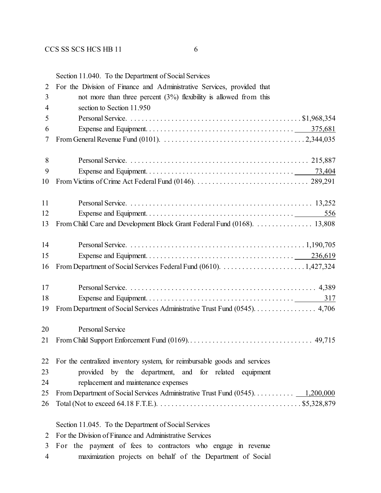Section 11.040. To the Department of Social Services

| $\overline{2}$ | For the Division of Finance and Administrative Services, provided that       |
|----------------|------------------------------------------------------------------------------|
| 3              | not more than three percent $(3%)$ flexibility is allowed from this          |
| 4              | section to Section 11.950                                                    |
| 5              |                                                                              |
| 6              |                                                                              |
| 7              |                                                                              |
| 8              |                                                                              |
| 9              |                                                                              |
| 10             |                                                                              |
| 11             |                                                                              |
| 12             | 556                                                                          |
| 13             | From Child Care and Development Block Grant Federal Fund (0168). 13,808      |
| 14             |                                                                              |
| 15             |                                                                              |
| 16             |                                                                              |
| 17             |                                                                              |
| 18             | 317                                                                          |
| 19             | From Department of Social Services Administrative Trust Fund (0545). 4,706   |
| 20             | <b>Personal Service</b>                                                      |
| 21             |                                                                              |
|                | 22 For the centralized inventory system, for reimbursable goods and services |
| 23             | provided by the department, and for related equipment                        |
| 24             | replacement and maintenance expenses                                         |
| 25             |                                                                              |
| 26             |                                                                              |
|                | Section 11.045. To the Department of Social Services                         |
| 2              | For the Division of Finance and Administrative Services                      |

- For the payment of fees to contractors who engage in revenue
- maximization projects on behalf of the Department of Social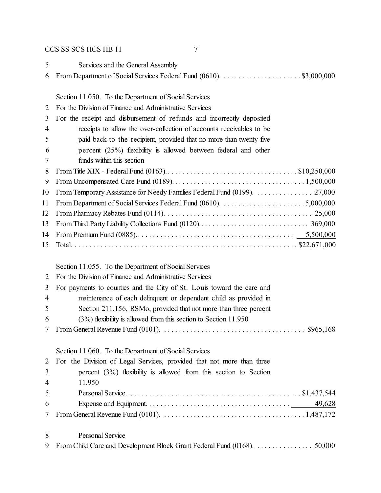| 5 <sup>5</sup> | Services and the General Assembly |
|----------------|-----------------------------------|
|                |                                   |
|                |                                   |

Section 11.050. To the Department of Social Services

For the Division of Finance and Administrative Services

| 3              | For the receipt and disbursement of refunds and incorrectly deposited       |
|----------------|-----------------------------------------------------------------------------|
| $\overline{4}$ | receipts to allow the over-collection of accounts receivables to be         |
|                |                                                                             |
| 5              | paid back to the recipient, provided that no more than twenty-five          |
| 6              | percent $(25%)$ flexibility is allowed between federal and other            |
|                | funds within this section                                                   |
| 8              |                                                                             |
| 9              |                                                                             |
|                | 10 From Temporary Assistance for Needy Families Federal Fund (0199). 27,000 |
|                |                                                                             |
|                |                                                                             |
| 13             |                                                                             |
|                |                                                                             |
| 15             |                                                                             |
|                |                                                                             |

Section 11.055. To the Department of Social Services

| 2 For the Division of Finance and Administrative Services |  |
|-----------------------------------------------------------|--|
|-----------------------------------------------------------|--|

- For payments to counties and the City of St. Louis toward the care and
- maintenance of each delinquent or dependent child as provided in
- Section 211.156, RSMo, provided that not more than three percent
- (3%) flexibility is allowed from this section to Section 11.950
- From General Revenue Fund (0101). . . . . . . . . . . . . . . . . . . . . . . . . . . . . . . . . . . . . . . \$965,168

# Section 11.060. To the Department of Social Services

|   | 2 For the Division of Legal Services, provided that not more than three               |
|---|---------------------------------------------------------------------------------------|
|   | 3 <sup>7</sup><br>percent $(3\%)$ flexibility is allowed from this section to Section |
|   | 4 11.950                                                                              |
|   | 5 <sup>5</sup>                                                                        |
| 6 |                                                                                       |
|   |                                                                                       |
|   |                                                                                       |
|   | 8<br><b>Personal Service</b>                                                          |

From Child Care and Development Block Grant Federal Fund (0168). . . . . . . . . . . . . . . . 50,000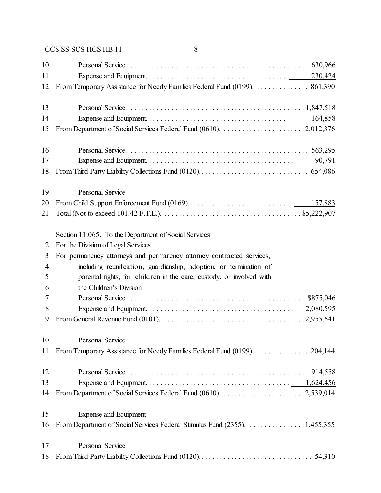| 10       |                                                                            |
|----------|----------------------------------------------------------------------------|
| 11<br>12 | From Temporary Assistance for Needy Families Federal Fund (0199).  861,390 |
| 13       |                                                                            |
| 14       |                                                                            |
| 15       |                                                                            |
| 16       |                                                                            |
| 17       |                                                                            |
| 18       |                                                                            |
| 19       | Personal Service                                                           |
| 20       |                                                                            |
| 21       |                                                                            |
|          | Section 11.065. To the Department of Social Services                       |
| 2        | For the Division of Legal Services                                         |
| 3        | For permanency attorneys and permanency attorney contracted services,      |
| 4        | including reunification, guardianship, adoption, or termination of         |
| 5        | parental rights, for children in the care, custody, or involved with       |
| 6        | the Children's Division                                                    |
| 7        |                                                                            |
| 8        |                                                                            |
| 9        |                                                                            |
| 10       | <b>Personal Service</b>                                                    |
| 11       | From Temporary Assistance for Needy Families Federal Fund (0199).  204,144 |
| 12       |                                                                            |
| 13       |                                                                            |
| 14       |                                                                            |
| 15       | Expense and Equipment                                                      |
| 16       | From Department of Social Services Federal Stimulus Fund (2355). 1,455,355 |
| 17       | Personal Service                                                           |
| 18       |                                                                            |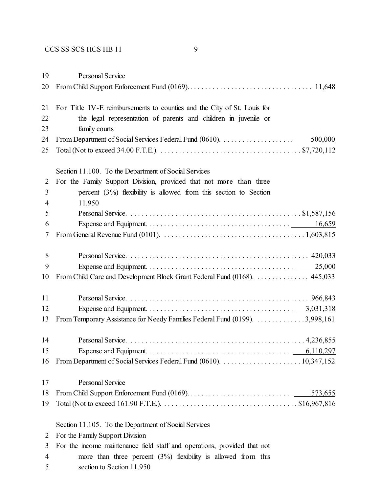Personal Service From Child Support Enforcement Fund (0169).. . . . . . . . . . . . . . . . . . . . . . . . . . . . . . . . . 11,648 For Title IV-E reimbursements to counties and the City of St. Louis for the legal representation of parents and children in juvenile or family courts From Department of Social Services Federal Fund (0610). . . . . . . . . . . . . . . . . . . . 500,000 Total (Not to exceed 34.00 F.T.E.). . . . . . . . . . . . . . . . . . . . . . . . . . . . . . . . . . . . . . . \$7,720,112 Section 11.100. To the Department of Social Services For the Family Support Division, provided that not more than three percent (3%) flexibility is allowed from this section to Section 11.950 Personal Service. . . . . . . . . . . . . . . . . . . . . . . . . . . . . . . . . . . . . . . . . . . . . . . \$1,587,156 Expense and Equipment. . . . . . . . . . . . . . . . . . . . . . . . . . . . . . . . . . . . . . . 16,659 From General Revenue Fund (0101). . . . . . . . . . . . . . . . . . . . . . . . . . . . . . . . . . . . . . . 1,603,815 Personal Service. . . . . . . . . . . . . . . . . . . . . . . . . . . . . . . . . . . . . . . . . . . . . . . . . 420,033 Expense and Equipment. . . . . . . . . . . . . . . . . . . . . . . . . . . . . . . . . . . . . . . . 25,000 From Child Care and Development Block Grant Federal Fund (0168). . . . . . . . . . . . . . . 445,033 Personal Service. . . . . . . . . . . . . . . . . . . . . . . . . . . . . . . . . . . . . . . . . . . . . . . . . 966,843 Expense and Equipment. . . . . . . . . . . . . . . . . . . . . . . . . . . . . . . . . . . . . . . . 3,031,318 From Temporary Assistance for Needy Families Federal Fund (0199). . . . . . . . . . . . . . 3,998,161 Personal Service. . . . . . . . . . . . . . . . . . . . . . . . . . . . . . . . . . . . . . . . . . . . . . . . 4,236,855 Expense and Equipment. . . . . . . . . . . . . . . . . . . . . . . . . . . . . . . . . . . . . . . 6,110,297 From Department of Social Services Federal Fund (0610). . . . . . . . . . . . . . . . . . . . . . 10,347,152 Personal Service From Child Support Enforcement Fund (0169).. . . . . . . . . . . . . . . . . . . . . . . . . . . . 573,655 Total (Not to exceed 161.90 F.T.E.). . . . . . . . . . . . . . . . . . . . . . . . . . . . . . . . . . . . . \$16,967,816

Section 11.105. To the Department of Social Services

- For the Family Support Division
- For the income maintenance field staff and operations, provided that not more than three percent (3%) flexibility is allowed from this section to Section 11.950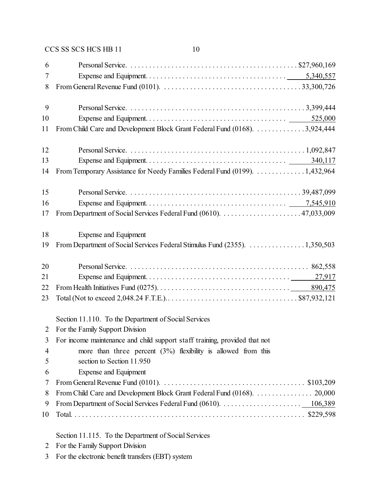|  | CCS SS SCS HCS HB 11 |  |
|--|----------------------|--|
|  |                      |  |

| 6  |                                                                                                                                           |
|----|-------------------------------------------------------------------------------------------------------------------------------------------|
| 7  |                                                                                                                                           |
| 8  | From General Revenue Fund (0101). $\ldots \ldots \ldots \ldots \ldots \ldots \ldots \ldots \ldots \ldots \ldots \ldots \ldots$ 33,300,726 |
| 9  |                                                                                                                                           |
| 10 |                                                                                                                                           |
| 11 | From Child Care and Development Block Grant Federal Fund (0168). 3,924,444                                                                |
| 12 |                                                                                                                                           |
| 13 | 340,117                                                                                                                                   |
| 14 | From Temporary Assistance for Needy Families Federal Fund (0199). 1,432,964                                                               |
| 15 |                                                                                                                                           |
| 16 |                                                                                                                                           |
| 17 |                                                                                                                                           |
| 18 | <b>Expense and Equipment</b>                                                                                                              |
| 19 | From Department of Social Services Federal Stimulus Fund (2355). 1,350,503                                                                |
| 20 |                                                                                                                                           |
| 21 |                                                                                                                                           |
| 22 |                                                                                                                                           |
| 23 |                                                                                                                                           |
|    | Section 11.110. To the Department of Social Services                                                                                      |
| 2  | For the Family Support Division                                                                                                           |
| 3  | For income maintenance and child support staff training, provided that not                                                                |
| 4  | more than three percent $(3%)$ flexibility is allowed from this                                                                           |
| 5  | section to Section 11.950                                                                                                                 |
| 6  | <b>Expense and Equipment</b>                                                                                                              |
| 7  | From General Revenue Fund (0101). $\ldots \ldots \ldots \ldots \ldots \ldots \ldots \ldots \ldots \ldots \ldots$ \$103,209                |
| 8  | From Child Care and Development Block Grant Federal Fund (0168). 20,000                                                                   |
| 9  |                                                                                                                                           |
| 10 |                                                                                                                                           |
|    | Section 11.115. To the Department of Social Services                                                                                      |

- For the Family Support Division
- For the electronic benefit transfers (EBT) system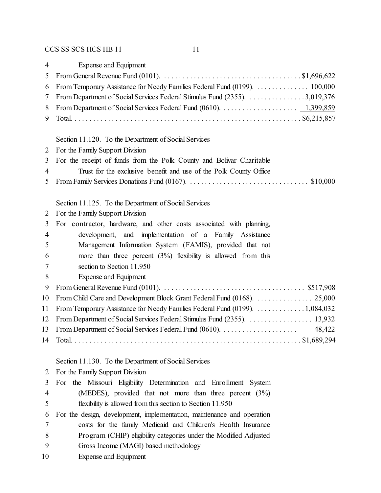| $\overline{4}$ | <b>Expense and Equipment</b>                                                                                                                  |
|----------------|-----------------------------------------------------------------------------------------------------------------------------------------------|
| 5              | From General Revenue Fund (0101). $\ldots \ldots \ldots \ldots \ldots \ldots \ldots \ldots \ldots \ldots \ldots$ \$1,696,622                  |
| 6              | From Temporary Assistance for Needy Families Federal Fund (0199).  100,000                                                                    |
| 7              | From Department of Social Services Federal Stimulus Fund (2355). 3,019,376                                                                    |
| 8              | From Department of Social Services Federal Fund (0610). $\dots \dots \dots \dots \dots \dots \dots \dots \dots \dots \dots \dots \dots \dots$ |
| 9              |                                                                                                                                               |
|                | Section 11.120. To the Department of Social Services                                                                                          |
| 2              | For the Family Support Division                                                                                                               |
| 3              | For the receipt of funds from the Polk County and Bolivar Charitable                                                                          |
| $\overline{4}$ | Trust for the exclusive benefit and use of the Polk County Office                                                                             |
| 5              |                                                                                                                                               |
|                | Section 11.125. To the Department of Social Services                                                                                          |
| 2              | For the Family Support Division                                                                                                               |
| 3              | For contractor, hardware, and other costs associated with planning,                                                                           |
| 4              | development, and implementation of a Family Assistance                                                                                        |
| 5              | Management Information System (FAMIS), provided that not                                                                                      |
| 6              | more than three percent $(3%)$ flexibility is allowed from this                                                                               |
| 7              | section to Section 11.950                                                                                                                     |
| 8              | Expense and Equipment                                                                                                                         |
| 9              | From General Revenue Fund (0101). $\ldots \ldots \ldots \ldots \ldots \ldots \ldots \ldots \ldots \ldots \ldots \ldots$ \$517,908             |
| 10             | From Child Care and Development Block Grant Federal Fund (0168). 25,000                                                                       |
| 11             | From Temporary Assistance for Needy Families Federal Fund (0199). 1,084,032                                                                   |
| 12             |                                                                                                                                               |
| 13             |                                                                                                                                               |
| 14             |                                                                                                                                               |
|                | $\overline{111100}$ $\overline{1110}$ $\overline{1110}$ $\overline{1110}$ $\overline{1110}$ $\overline{1110}$ $\overline{1110}$               |

Section 11.130. To the Department of Social Services

|    | 2 For the Family Support Division                                      |
|----|------------------------------------------------------------------------|
| 3  | For the Missouri Eligibility Determination and Enrollment System       |
| 4  | (MEDES), provided that not more than three percent $(3\%)$             |
| 5  | flexibility is allowed from this section to Section 11.950             |
| 6  | For the design, development, implementation, maintenance and operation |
| 7  | costs for the family Medicaid and Children's Health Insurance          |
| 8  | Program (CHIP) eligibility categories under the Modified Adjusted      |
| 9  | Gross Income (MAGI) based methodology                                  |
| 10 | Expense and Equipment                                                  |
|    |                                                                        |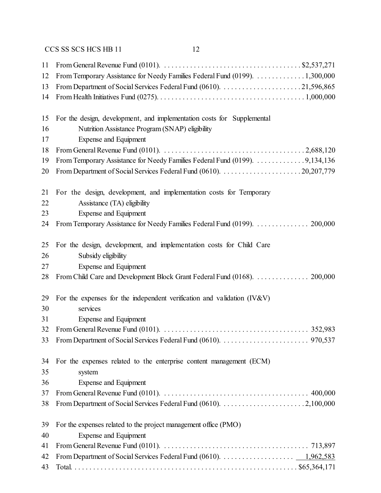| 11 | From General Revenue Fund (0101). $\ldots \ldots \ldots \ldots \ldots \ldots \ldots \ldots \ldots \ldots$ \$2,537,271                                           |
|----|-----------------------------------------------------------------------------------------------------------------------------------------------------------------|
| 12 | From Temporary Assistance for Needy Families Federal Fund (0199). 1,300,000                                                                                     |
| 13 |                                                                                                                                                                 |
| 14 |                                                                                                                                                                 |
|    |                                                                                                                                                                 |
| 15 | For the design, development, and implementation costs for Supplemental                                                                                          |
| 16 | Nutrition Assistance Program (SNAP) eligibility                                                                                                                 |
| 17 | <b>Expense and Equipment</b>                                                                                                                                    |
| 18 |                                                                                                                                                                 |
| 19 | From Temporary Assistance for Needy Families Federal Fund (0199). 9,134,136                                                                                     |
| 20 |                                                                                                                                                                 |
| 21 | For the design, development, and implementation costs for Temporary                                                                                             |
| 22 | Assistance (TA) eligibility                                                                                                                                     |
| 23 | Expense and Equipment                                                                                                                                           |
| 24 | From Temporary Assistance for Needy Families Federal Fund (0199).  200,000                                                                                      |
| 25 | For the design, development, and implementation costs for Child Care                                                                                            |
| 26 | Subsidy eligibility                                                                                                                                             |
| 27 | <b>Expense and Equipment</b>                                                                                                                                    |
| 28 | From Child Care and Development Block Grant Federal Fund (0168).  200,000                                                                                       |
| 29 | For the expenses for the independent verification and validation (IV&V)                                                                                         |
| 30 | services                                                                                                                                                        |
| 31 | Expense and Equipment                                                                                                                                           |
| 32 |                                                                                                                                                                 |
|    |                                                                                                                                                                 |
| 34 | For the expenses related to the enterprise content management (ECM)                                                                                             |
| 35 | system                                                                                                                                                          |
| 36 | Expense and Equipment                                                                                                                                           |
| 37 | From General Revenue Fund (0101). $\ldots \ldots \ldots \ldots \ldots \ldots \ldots \ldots \ldots \ldots \ldots \ldots \ldots$ 400,000                          |
| 38 |                                                                                                                                                                 |
|    |                                                                                                                                                                 |
| 39 | For the expenses related to the project management office (PMO)                                                                                                 |
| 40 | <b>Expense and Equipment</b>                                                                                                                                    |
| 41 | From General Revenue Fund (0101). $\ldots \ldots \ldots \ldots \ldots \ldots \ldots \ldots \ldots \ldots \ldots \ldots \ldots$ 713,897                          |
| 42 | From Department of Social Services Federal Fund (0610). $\dots \dots \dots \dots \dots \dots \dots \dots \dots \dots \dots \dots \dots \dots \dots \dots \dots$ |
| 43 |                                                                                                                                                                 |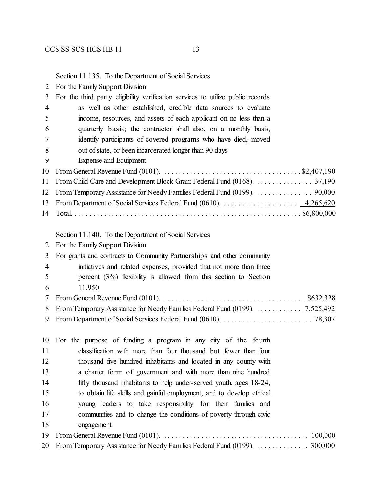Section 11.135. To the Department of Social Services

| $\overline{2}$ | For the Family Support Division                                                                                                                           |
|----------------|-----------------------------------------------------------------------------------------------------------------------------------------------------------|
| 3              | For the third party eligibility verification services to utilize public records                                                                           |
| $\overline{4}$ | as well as other established, credible data sources to evaluate                                                                                           |
| 5              | income, resources, and assets of each applicant on no less than a                                                                                         |
| 6              | quarterly basis; the contractor shall also, on a monthly basis,                                                                                           |
| 7              | identify participants of covered programs who have died, moved                                                                                            |
| 8              | out of state, or been incarcerated longer than 90 days                                                                                                    |
| 9              | Expense and Equipment                                                                                                                                     |
| 10             | From General Revenue Fund (0101). $\ldots \ldots \ldots \ldots \ldots \ldots \ldots \ldots \ldots \ldots \ldots$ \$2,407,190                              |
| 11             |                                                                                                                                                           |
| 12             | From Temporary Assistance for Needy Families Federal Fund (0199).  90,000                                                                                 |
| 13             | From Department of Social Services Federal Fund (0610). $\dots \dots \dots \dots \dots \dots \dots \dots \dots \dots \dots \dots \dots \dots \dots \dots$ |
| 14             |                                                                                                                                                           |
|                |                                                                                                                                                           |
|                | Section 11.140. To the Department of Social Services                                                                                                      |
| 2              | For the Family Support Division                                                                                                                           |
| 3              | For grants and contracts to Community Partnerships and other community                                                                                    |
| 4              | initiatives and related expenses, provided that not more than three                                                                                       |
| 5              | percent $(3\%)$ flexibility is allowed from this section to Section                                                                                       |
| 6              | 11.950                                                                                                                                                    |
| 7              |                                                                                                                                                           |
| 8              | From Temporary Assistance for Needy Families Federal Fund (0199). 7,525,492                                                                               |
| 9              |                                                                                                                                                           |
|                |                                                                                                                                                           |
| 10             | For the purpose of funding a program in any city of the fourth                                                                                            |
| 11             | classification with more than four thousand but fewer than four                                                                                           |
| 12             | thousand five hundred inhabitants and located in any county with                                                                                          |
| 13             | a charter form of government and with more than nine hundred                                                                                              |
| 14             | fifty thousand inhabitants to help under-served youth, ages 18-24,                                                                                        |
| 15             | to obtain life skills and gainful employment, and to develop ethical                                                                                      |
| 16             | young leaders to take responsibility for their families and                                                                                               |
| 17             | communities and to change the conditions of poverty through civic                                                                                         |
| 18             | engagement                                                                                                                                                |
| 19             | 100,000                                                                                                                                                   |
| 20             | From Temporary Assistance for Needy Families Federal Fund (0199).  300,000                                                                                |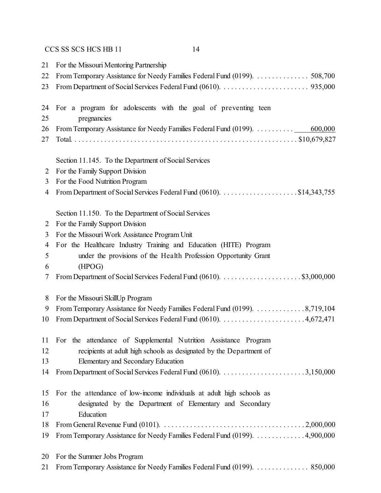| 21 | For the Missouri Mentoring Partnership                                      |
|----|-----------------------------------------------------------------------------|
| 22 | From Temporary Assistance for Needy Families Federal Fund (0199). 508,700   |
| 23 |                                                                             |
| 24 | For a program for adolescents with the goal of preventing teen              |
| 25 | pregnancies                                                                 |
| 26 | 600,000                                                                     |
| 27 |                                                                             |
|    | Section 11.145. To the Department of Social Services                        |
| 2  | For the Family Support Division                                             |
| 3  | For the Food Nutrition Program                                              |
| 4  |                                                                             |
|    | Section 11.150. To the Department of Social Services                        |
| 2  | For the Family Support Division                                             |
| 3  | For the Missouri Work Assistance Program Unit                               |
| 4  | For the Healthcare Industry Training and Education (HITE) Program           |
| 5  | under the provisions of the Health Profession Opportunity Grant             |
| 6  | (HPOG)                                                                      |
| 7  |                                                                             |
| 8  | For the Missouri SkillUp Program                                            |
| 9  | From Temporary Assistance for Needy Families Federal Fund (0199). 8,719,104 |
| 10 |                                                                             |
| 11 | For the attendance of Supplemental Nutrition Assistance Program             |
| 12 | recipients at adult high schools as designated by the Department of         |
| 13 | Elementary and Secondary Education                                          |
| 14 |                                                                             |
| 15 | For the attendance of low-income individuals at a dult high schools as      |
| 16 | designated by the Department of Elementary and Secondary                    |
| 17 | Education                                                                   |
| 18 |                                                                             |
| 19 | From Temporary Assistance for Needy Families Federal Fund (0199). 4,900,000 |
| 20 | For the Summer Jobs Program                                                 |
| 21 | From Temporary Assistance for Needy Families Federal Fund (0199).  850,000  |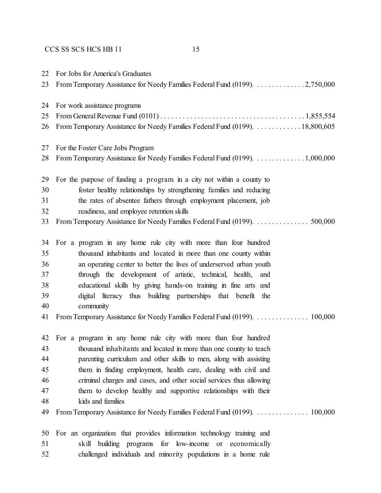| 22<br>23 | For Jobs for America's Graduates<br>From Temporary Assistance for Needy Families Federal Fund (0199). 2,750,000 |
|----------|-----------------------------------------------------------------------------------------------------------------|
| 24       | For work assistance programs                                                                                    |
| 25       |                                                                                                                 |
| 26       | From Temporary Assistance for Needy Families Federal Fund (0199). 18,800,605                                    |
| 27       | For the Foster Care Jobs Program                                                                                |
| 28       | From Temporary Assistance for Needy Families Federal Fund (0199). 1,000,000                                     |
| 29       | For the purpose of funding a program in a city not within a county to                                           |
| 30       | foster healthy relationships by strengthening families and reducing                                             |
| 31       | the rates of absentee fathers through employment placement, job                                                 |
| 32       | readiness, and employee retention skills                                                                        |
| 33       | From Temporary Assistance for Needy Families Federal Fund (0199).  500,000                                      |
| 34       | For a program in any home rule city with more than four hundred                                                 |
| 35       | thousand inhabitants and located in more than one county within                                                 |
| 36       | an operating center to better the lives of underserved urban youth                                              |
| 37       | through the development of artistic, technical, health, and                                                     |
| 38       | educational skills by giving hands-on training in fine arts and                                                 |
| 39       | digital literacy thus building partnerships that benefit the                                                    |
| 40       | community                                                                                                       |
| 41       | From Temporary Assistance for Needy Families Federal Fund (0199).  100,000                                      |
| 42       | For a program in any home rule city with more than four hundred                                                 |
| 43       | thousand inhabitants and located in more than one county to teach                                               |
| 44       | parenting curriculum and other skills to men, along with assisting                                              |
| 45       | them in finding employment, health care, dealing with civil and                                                 |
| 46       | criminal charges and cases, and other social services thus allowing                                             |
| 47       | them to develop healthy and supportive relationships with their                                                 |
| 48       | kids and families                                                                                               |
| 49       |                                                                                                                 |
| 50       | For an organization that provides information technology training and                                           |
| 51       | for low-income<br>building programs<br>skill<br><sub>or</sub><br>economically                                   |
| 52       | challenged individuals and minority populations in a home rule                                                  |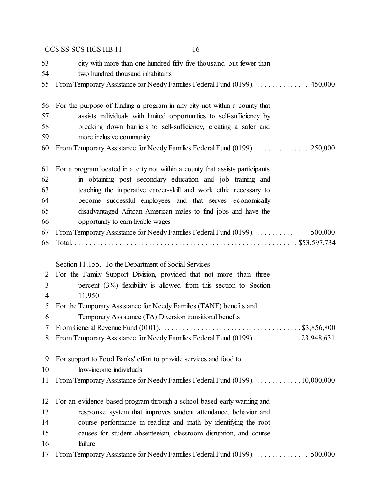|    | 16<br>CCS SS SCS HCS HB 11                                                                                                   |
|----|------------------------------------------------------------------------------------------------------------------------------|
| 53 | city with more than one hundred fifty-five thousand but fewer than                                                           |
| 54 | two hundred thousand inhabitants                                                                                             |
| 55 | From Temporary Assistance for Needy Families Federal Fund (0199). 450,000                                                    |
| 56 | For the purpose of funding a program in any city not within a county that                                                    |
| 57 | assists individuals with limited opportunities to self-sufficiency by                                                        |
| 58 | breaking down barriers to self-sufficiency, creating a safer and                                                             |
| 59 | more inclusive community                                                                                                     |
| 60 | From Temporary Assistance for Needy Families Federal Fund (0199).  250,000                                                   |
| 61 | For a program located in a city not within a county that assists participants                                                |
| 62 | in obtaining post secondary education and job training and                                                                   |
| 63 | teaching the imperative career-skill and work ethic necessary to                                                             |
| 64 | become successful employees and that serves economically                                                                     |
| 65 | disadvantaged African American males to find jobs and have the                                                               |
| 66 | opportunity to earn livable wages                                                                                            |
| 67 | From Temporary Assistance for Needy Families Federal Fund (0199).<br>500,000                                                 |
| 68 |                                                                                                                              |
|    | Section 11.155. To the Department of Social Services                                                                         |
| 2  | For the Family Support Division, provided that not more than three                                                           |
| 3  | percent $(3%)$ flexibility is allowed from this section to Section                                                           |
| 4  | 11.950                                                                                                                       |
| 5  | For the Temporary Assistance for Needy Families (TANF) benefits and                                                          |
| 6  | Temporary Assistance (TA) Diversion transitional benefits                                                                    |
| 7  | From General Revenue Fund (0101). $\ldots \ldots \ldots \ldots \ldots \ldots \ldots \ldots \ldots \ldots \ldots$ \$3,856,800 |
| 8  | From Temporary Assistance for Needy Families Federal Fund (0199). 23,948,631                                                 |
| 9  | For support to Food Banks' effort to provide services and food to                                                            |
| 10 | low-income individuals                                                                                                       |
| 11 | From Temporary Assistance for Needy Families Federal Fund (0199). 10,000,000                                                 |
| 12 | For an evidence-based program through a school-based early warning and                                                       |
| 13 | response system that improves student attendance, behavior and                                                               |
| 14 | course performance in reading and math by identifying the root                                                               |
| 15 | causes for student absenteeism, classroom disruption, and course                                                             |
| 16 | failure                                                                                                                      |
| 17 |                                                                                                                              |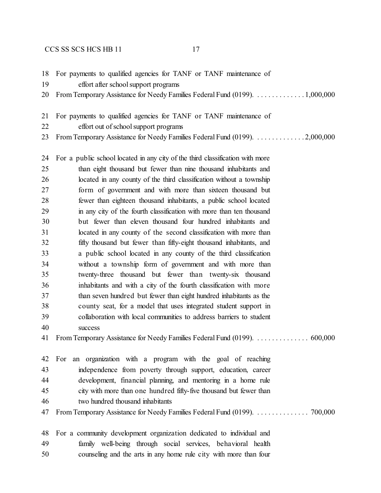- For payments to qualified agencies for TANF or TANF maintenance of
- effort after school support programs
- From Temporary Assistance for Needy Families Federal Fund (0199). . . . . . . . . . . . . . 1,000,000
- For payments to qualified agencies for TANF or TANF maintenance of
- effort out of school support programs
- From Temporary Assistance for Needy Families Federal Fund (0199). . . . . . . . . . . . . . 2,000,000

 For a public school located in any city of the third classification with more than eight thousand but fewer than nine thousand inhabitants and located in any county of the third classification without a township form of government and with more than sixteen thousand but fewer than eighteen thousand inhabitants, a public school located in any city of the fourth classification with more than ten thousand but fewer than eleven thousand four hundred inhabitants and located in any county of the second classification with more than fifty thousand but fewer than fifty-eight thousand inhabitants, and a public school located in any county of the third classification without a township form of government and with more than twenty-three thousand but fewer than twenty-six thousand inhabitants and with a city of the fourth classification with more than seven hundred but fewer than eight hundred inhabitants as the county seat, for a model that uses integrated student support in collaboration with local communities to address barriers to student success From Temporary Assistance for Needy Families Federal Fund (0199). . . . . . . . . . . . . . . 600,000 For an organization with a program with the goal of reaching independence from poverty through support, education, career development, financial planning, and mentoring in a home rule city with more than one hundred fifty-five thousand but fewer than two hundred thousand inhabitants From Temporary Assistance for Needy Families Federal Fund (0199). . . . . . . . . . . . . . . 700,000

 For a community development organization dedicated to individual and family well-being through social services, behavioral health counseling and the arts in any home rule city with more than four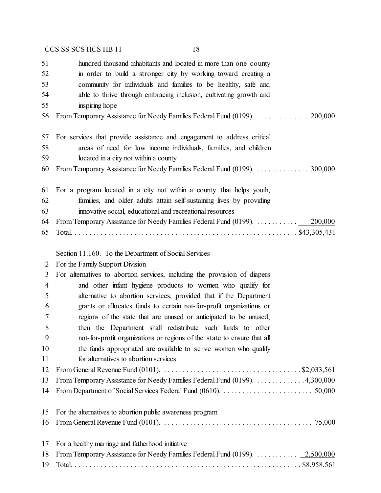|    | CCS SS SCS HCS HB 11<br>18                                                                                                    |
|----|-------------------------------------------------------------------------------------------------------------------------------|
| 51 | hundred thousand inhabitants and located in more than one county                                                              |
| 52 | in order to build a stronger city by working toward creating a                                                                |
| 53 | community for individuals and families to be healthy, safe and                                                                |
| 54 | able to thrive through embracing inclusion, cultivating growth and                                                            |
| 55 | inspiring hope                                                                                                                |
| 56 | From Temporary Assistance for Needy Families Federal Fund (0199).  200,000                                                    |
| 57 | For services that provide assistance and engagement to address critical                                                       |
| 58 | areas of need for low income individuals, families, and children                                                              |
| 59 | located in a city not within a county                                                                                         |
| 60 |                                                                                                                               |
| 61 | For a program located in a city not within a county that helps youth,                                                         |
| 62 | families, and older adults attain self-sustaining lives by providing                                                          |
| 63 | innovative social, educational and recreational resources                                                                     |
| 64 | From Temporary Assistance for Needy Families Federal Fund (0199).<br>200,000                                                  |
| 65 |                                                                                                                               |
|    | Section 11.160. To the Department of Social Services                                                                          |
| 2  | For the Family Support Division                                                                                               |
| 3  | For alternatives to abortion services, including the provision of diapers                                                     |
| 4  | and other infant hygiene products to women who qualify for                                                                    |
| 5  | alternative to abortion services, provided that if the Department                                                             |
| 6  | grants or allocates funds to certain not-for-profit organizations or                                                          |
| 7  | regions of the state that are unused or anticipated to be unused,                                                             |
| 8  | then the Department shall redistribute such funds to other                                                                    |
| 9  | not-for-profit organizations or regions of the state to ensure that all                                                       |
| 10 | the funds appropriated are available to serve women who qualify                                                               |
| 11 | for alternatives to abortion services                                                                                         |
| 12 | From General Revenue Fund (0101). $\dots \dots \dots \dots \dots \dots \dots \dots \dots \dots \dots \dots \dots$ \$2,033,561 |
| 13 | From Temporary Assistance for Needy Families Federal Fund (0199). 4,300,000                                                   |
| 14 |                                                                                                                               |
| 15 | For the alternatives to abortion public awareness program                                                                     |
| 16 |                                                                                                                               |
| 17 | For a healthy marriage and fatherhood initiative                                                                              |
| 18 | From Temporary Assistance for Needy Families Federal Fund (0199). $\ldots \ldots \ldots \ldots 2,500,000$                     |
| 19 |                                                                                                                               |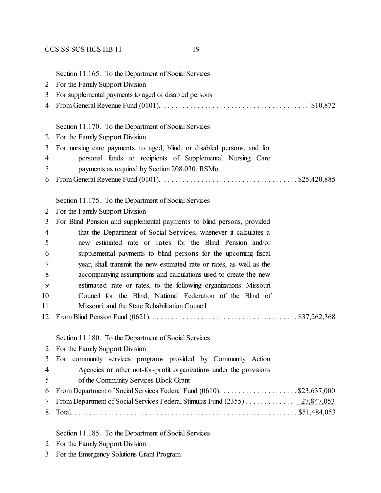| For the Family Support Division<br>2<br>For supplemental payments to aged or disabled persons<br>3<br>4<br>Section 11.170. To the Department of Social Services<br>For the Family Support Division<br>2<br>For nursing care payments to aged, blind, or disabled persons, and for<br>3<br>personal funds to recipients of Supplemental Nursing Care<br>$\overline{4}$<br>payments as required by Section 208.030, RSMo<br>5<br>6<br>Section 11.175. To the Department of Social Services<br>For the Family Support Division<br>2<br>For Blind Pension and supplemental payments to blind persons, provided<br>3<br>that the Department of Social Services, whenever it calculates a<br>$\overline{4}$<br>new estimated rate or rates for the Blind Pension and/or<br>5<br>supplemental payments to blind persons for the upcoming fiscal<br>6<br>year, shall transmit the new estimated rate or rates, as well as the<br>7<br>8<br>accompanying assumptions and calculations used to create the new<br>9<br>estimated rate or rates, to the following organizations: Missouri<br>10<br>Council for the Blind, National Federation of the Blind of<br>11<br>Missouri, and the State Rehabilitation Council<br>12<br>Section 11.180. To the Department of Social Services<br>$\overline{2}$<br>For the Family Support Division<br>For community services programs provided by Community Action<br>3<br>Agencies or other not-for-profit organizations under the provisions<br>$\overline{4}$<br>of the Community Services Block Grant<br>5<br>6<br>From Department of Social Services Federal Stimulus Fund (2355) 27,847,053<br>7 |   |                                                      |
|----------------------------------------------------------------------------------------------------------------------------------------------------------------------------------------------------------------------------------------------------------------------------------------------------------------------------------------------------------------------------------------------------------------------------------------------------------------------------------------------------------------------------------------------------------------------------------------------------------------------------------------------------------------------------------------------------------------------------------------------------------------------------------------------------------------------------------------------------------------------------------------------------------------------------------------------------------------------------------------------------------------------------------------------------------------------------------------------------------------------------------------------------------------------------------------------------------------------------------------------------------------------------------------------------------------------------------------------------------------------------------------------------------------------------------------------------------------------------------------------------------------------------------------------------------------------------------------------------------------------------------|---|------------------------------------------------------|
|                                                                                                                                                                                                                                                                                                                                                                                                                                                                                                                                                                                                                                                                                                                                                                                                                                                                                                                                                                                                                                                                                                                                                                                                                                                                                                                                                                                                                                                                                                                                                                                                                                  |   | Section 11.165. To the Department of Social Services |
|                                                                                                                                                                                                                                                                                                                                                                                                                                                                                                                                                                                                                                                                                                                                                                                                                                                                                                                                                                                                                                                                                                                                                                                                                                                                                                                                                                                                                                                                                                                                                                                                                                  |   |                                                      |
|                                                                                                                                                                                                                                                                                                                                                                                                                                                                                                                                                                                                                                                                                                                                                                                                                                                                                                                                                                                                                                                                                                                                                                                                                                                                                                                                                                                                                                                                                                                                                                                                                                  |   |                                                      |
|                                                                                                                                                                                                                                                                                                                                                                                                                                                                                                                                                                                                                                                                                                                                                                                                                                                                                                                                                                                                                                                                                                                                                                                                                                                                                                                                                                                                                                                                                                                                                                                                                                  |   |                                                      |
|                                                                                                                                                                                                                                                                                                                                                                                                                                                                                                                                                                                                                                                                                                                                                                                                                                                                                                                                                                                                                                                                                                                                                                                                                                                                                                                                                                                                                                                                                                                                                                                                                                  |   |                                                      |
|                                                                                                                                                                                                                                                                                                                                                                                                                                                                                                                                                                                                                                                                                                                                                                                                                                                                                                                                                                                                                                                                                                                                                                                                                                                                                                                                                                                                                                                                                                                                                                                                                                  |   |                                                      |
|                                                                                                                                                                                                                                                                                                                                                                                                                                                                                                                                                                                                                                                                                                                                                                                                                                                                                                                                                                                                                                                                                                                                                                                                                                                                                                                                                                                                                                                                                                                                                                                                                                  |   |                                                      |
|                                                                                                                                                                                                                                                                                                                                                                                                                                                                                                                                                                                                                                                                                                                                                                                                                                                                                                                                                                                                                                                                                                                                                                                                                                                                                                                                                                                                                                                                                                                                                                                                                                  |   |                                                      |
|                                                                                                                                                                                                                                                                                                                                                                                                                                                                                                                                                                                                                                                                                                                                                                                                                                                                                                                                                                                                                                                                                                                                                                                                                                                                                                                                                                                                                                                                                                                                                                                                                                  |   |                                                      |
|                                                                                                                                                                                                                                                                                                                                                                                                                                                                                                                                                                                                                                                                                                                                                                                                                                                                                                                                                                                                                                                                                                                                                                                                                                                                                                                                                                                                                                                                                                                                                                                                                                  |   |                                                      |
|                                                                                                                                                                                                                                                                                                                                                                                                                                                                                                                                                                                                                                                                                                                                                                                                                                                                                                                                                                                                                                                                                                                                                                                                                                                                                                                                                                                                                                                                                                                                                                                                                                  |   |                                                      |
|                                                                                                                                                                                                                                                                                                                                                                                                                                                                                                                                                                                                                                                                                                                                                                                                                                                                                                                                                                                                                                                                                                                                                                                                                                                                                                                                                                                                                                                                                                                                                                                                                                  |   |                                                      |
|                                                                                                                                                                                                                                                                                                                                                                                                                                                                                                                                                                                                                                                                                                                                                                                                                                                                                                                                                                                                                                                                                                                                                                                                                                                                                                                                                                                                                                                                                                                                                                                                                                  |   |                                                      |
|                                                                                                                                                                                                                                                                                                                                                                                                                                                                                                                                                                                                                                                                                                                                                                                                                                                                                                                                                                                                                                                                                                                                                                                                                                                                                                                                                                                                                                                                                                                                                                                                                                  |   |                                                      |
|                                                                                                                                                                                                                                                                                                                                                                                                                                                                                                                                                                                                                                                                                                                                                                                                                                                                                                                                                                                                                                                                                                                                                                                                                                                                                                                                                                                                                                                                                                                                                                                                                                  |   |                                                      |
|                                                                                                                                                                                                                                                                                                                                                                                                                                                                                                                                                                                                                                                                                                                                                                                                                                                                                                                                                                                                                                                                                                                                                                                                                                                                                                                                                                                                                                                                                                                                                                                                                                  |   |                                                      |
|                                                                                                                                                                                                                                                                                                                                                                                                                                                                                                                                                                                                                                                                                                                                                                                                                                                                                                                                                                                                                                                                                                                                                                                                                                                                                                                                                                                                                                                                                                                                                                                                                                  |   |                                                      |
|                                                                                                                                                                                                                                                                                                                                                                                                                                                                                                                                                                                                                                                                                                                                                                                                                                                                                                                                                                                                                                                                                                                                                                                                                                                                                                                                                                                                                                                                                                                                                                                                                                  |   |                                                      |
|                                                                                                                                                                                                                                                                                                                                                                                                                                                                                                                                                                                                                                                                                                                                                                                                                                                                                                                                                                                                                                                                                                                                                                                                                                                                                                                                                                                                                                                                                                                                                                                                                                  |   |                                                      |
|                                                                                                                                                                                                                                                                                                                                                                                                                                                                                                                                                                                                                                                                                                                                                                                                                                                                                                                                                                                                                                                                                                                                                                                                                                                                                                                                                                                                                                                                                                                                                                                                                                  |   |                                                      |
|                                                                                                                                                                                                                                                                                                                                                                                                                                                                                                                                                                                                                                                                                                                                                                                                                                                                                                                                                                                                                                                                                                                                                                                                                                                                                                                                                                                                                                                                                                                                                                                                                                  |   |                                                      |
|                                                                                                                                                                                                                                                                                                                                                                                                                                                                                                                                                                                                                                                                                                                                                                                                                                                                                                                                                                                                                                                                                                                                                                                                                                                                                                                                                                                                                                                                                                                                                                                                                                  |   |                                                      |
|                                                                                                                                                                                                                                                                                                                                                                                                                                                                                                                                                                                                                                                                                                                                                                                                                                                                                                                                                                                                                                                                                                                                                                                                                                                                                                                                                                                                                                                                                                                                                                                                                                  |   |                                                      |
|                                                                                                                                                                                                                                                                                                                                                                                                                                                                                                                                                                                                                                                                                                                                                                                                                                                                                                                                                                                                                                                                                                                                                                                                                                                                                                                                                                                                                                                                                                                                                                                                                                  |   |                                                      |
|                                                                                                                                                                                                                                                                                                                                                                                                                                                                                                                                                                                                                                                                                                                                                                                                                                                                                                                                                                                                                                                                                                                                                                                                                                                                                                                                                                                                                                                                                                                                                                                                                                  |   |                                                      |
|                                                                                                                                                                                                                                                                                                                                                                                                                                                                                                                                                                                                                                                                                                                                                                                                                                                                                                                                                                                                                                                                                                                                                                                                                                                                                                                                                                                                                                                                                                                                                                                                                                  |   |                                                      |
|                                                                                                                                                                                                                                                                                                                                                                                                                                                                                                                                                                                                                                                                                                                                                                                                                                                                                                                                                                                                                                                                                                                                                                                                                                                                                                                                                                                                                                                                                                                                                                                                                                  |   |                                                      |
|                                                                                                                                                                                                                                                                                                                                                                                                                                                                                                                                                                                                                                                                                                                                                                                                                                                                                                                                                                                                                                                                                                                                                                                                                                                                                                                                                                                                                                                                                                                                                                                                                                  |   |                                                      |
|                                                                                                                                                                                                                                                                                                                                                                                                                                                                                                                                                                                                                                                                                                                                                                                                                                                                                                                                                                                                                                                                                                                                                                                                                                                                                                                                                                                                                                                                                                                                                                                                                                  |   |                                                      |
|                                                                                                                                                                                                                                                                                                                                                                                                                                                                                                                                                                                                                                                                                                                                                                                                                                                                                                                                                                                                                                                                                                                                                                                                                                                                                                                                                                                                                                                                                                                                                                                                                                  |   |                                                      |
|                                                                                                                                                                                                                                                                                                                                                                                                                                                                                                                                                                                                                                                                                                                                                                                                                                                                                                                                                                                                                                                                                                                                                                                                                                                                                                                                                                                                                                                                                                                                                                                                                                  |   |                                                      |
|                                                                                                                                                                                                                                                                                                                                                                                                                                                                                                                                                                                                                                                                                                                                                                                                                                                                                                                                                                                                                                                                                                                                                                                                                                                                                                                                                                                                                                                                                                                                                                                                                                  | 8 |                                                      |

Section 11.185. To the Department of Social Services

- For the Family Support Division
- For the Emergency Solutions Grant Program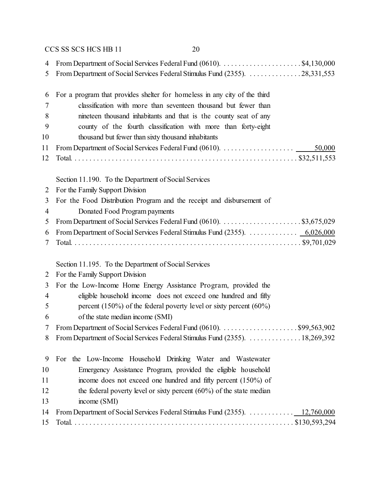| 4  |                                                                               |
|----|-------------------------------------------------------------------------------|
| 5  | From Department of Social Services Federal Stimulus Fund (2355). 28,331,553   |
|    |                                                                               |
| 6  | For a program that provides shelter for homeless in any city of the third     |
| 7  | classification with more than seventeen thousand but fewer than               |
| 8  | nineteen thousand inhabitants and that is the county seat of any              |
| 9  | county of the fourth classification with more than forty-eight                |
| 10 | thousand but fewer than sixty thousand inhabitants                            |
| 11 | 50,000                                                                        |
| 12 |                                                                               |
|    |                                                                               |
|    | Section 11.190. To the Department of Social Services                          |
| 2  | For the Family Support Division                                               |
| 3  | For the Food Distribution Program and the receipt and disbursement of         |
| 4  | Donated Food Program payments                                                 |
| 5  |                                                                               |
| 6  | From Department of Social Services Federal Stimulus Fund (2355).  6,026,000   |
| 7  |                                                                               |
|    |                                                                               |
|    | Section 11.195. To the Department of Social Services                          |
| 2  | For the Family Support Division                                               |
| 3  | For the Low-Income Home Energy Assistance Program, provided the               |
| 4  | eligible household income does not exceed one hundred and fifty               |
| 5  | percent (150%) of the federal poverty level or sixty percent (60%)            |
| 6  | of the state median income (SMI)                                              |
| 7  | From Department of Social Services Federal Fund (0610). \$99,563,902          |
|    | 8 From Department of Social Services Federal Stimulus Fund (2355). 18,269,392 |
|    |                                                                               |
| 9  | For the Low-Income Household Drinking Water and Wastewater                    |
| 10 | Emergency Assistance Program, provided the eligible household                 |
| 11 | income does not exceed one hundred and fifty percent (150%) of                |
| 12 | the federal poverty level or sixty percent $(60\%)$ of the state median       |
| 13 | income (SMI)                                                                  |
| 14 | From Department of Social Services Federal Stimulus Fund (2355). 12,760,000   |
| 15 |                                                                               |
|    |                                                                               |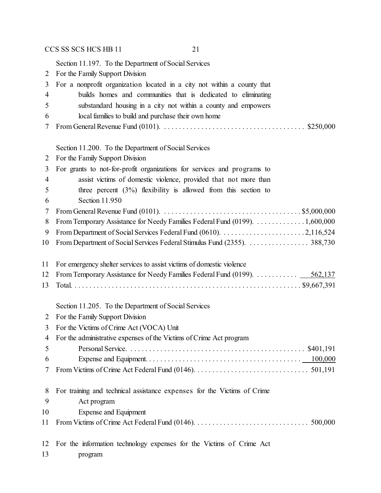Section 11.197. To the Department of Social Services For the Family Support Division For a nonprofit organization located in a city not within a county that builds homes and communities that is dedicated to eliminating substandard housing in a city not within a county and empowers local families to build and purchase their own home From General Revenue Fund (0101). . . . . . . . . . . . . . . . . . . . . . . . . . . . . . . . . . . . . . . \$250,000 Section 11.200. To the Department of Social Services For the Family Support Division For grants to not-for-profit organizations for services and programs to assist victims of domestic violence, provided that not more than three percent (3%) flexibility is allowed from this section to Section 11.950 From General Revenue Fund (0101). . . . . . . . . . . . . . . . . . . . . . . . . . . . . . . . . . . . . . \$5,000,000 From Temporary Assistance for Needy Families Federal Fund (0199). . . . . . . . . . . . . . 1,600,000 From Department of Social Services Federal Fund (0610). . . . . . . . . . . . . . . . . . . . . . . 2,116,524 10 From Department of Social Services Federal Stimulus Fund (2355). . . . . . . . . . . . . . . . . 388,730 For emergency shelter services to assist victims of domestic violence From Temporary Assistance for Needy Families Federal Fund (0199). . . . . . . . . . . . 562,137 Total. . . . . . . . . . . . . . . . . . . . . . . . . . . . . . . . . . . . . . . . . . . . . . . . . . . . . . . . . . . . . . \$9,667,391 Section 11.205. To the Department of Social Services For the Family Support Division For the Victims of Crime Act (VOCA) Unit For the administrative expenses of the Victims of Crime Act program Personal Service. . . . . . . . . . . . . . . . . . . . . . . . . . . . . . . . . . . . . . . . . . . . . . . . \$401,191 Expense and Equipment. . . . . . . . . . . . . . . . . . . . . . . . . . . . . . . . . . . . . . . . . . 100,000 From Victims of Crime Act Federal Fund (0146). . . . . . . . . . . . . . . . . . . . . . . . . . . . . . . 501,191 For training and technical assistance expenses for the Victims of Crime Act program Expense and Equipment From Victims of Crime Act Federal Fund (0146). . . . . . . . . . . . . . . . . . . . . . . . . . . . . . . 500,000 For the information technology expenses for the Victims of Crime Act program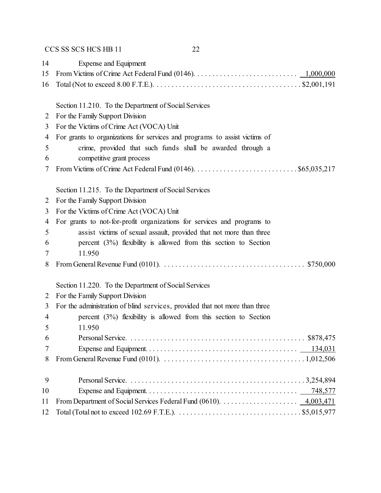| 14     | Expense and Equipment                                                                                                                    |
|--------|------------------------------------------------------------------------------------------------------------------------------------------|
| 15     |                                                                                                                                          |
| 16     |                                                                                                                                          |
|        | Section 11.210. To the Department of Social Services                                                                                     |
|        | For the Family Support Division                                                                                                          |
| 2<br>3 | For the Victims of Crime Act (VOCA) Unit                                                                                                 |
| 4      | For grants to organizations for services and programs to assist victims of                                                               |
| 5      |                                                                                                                                          |
| 6      | crime, provided that such funds shall be awarded through a                                                                               |
| 7      | competitive grant process                                                                                                                |
|        | Section 11.215. To the Department of Social Services                                                                                     |
| 2      | For the Family Support Division                                                                                                          |
| 3      | For the Victims of Crime Act (VOCA) Unit                                                                                                 |
| 4      | For grants to not-for-profit organizations for services and programs to                                                                  |
| 5      | assist victims of sexual assault, provided that not more than three                                                                      |
| 6      | percent $(3\%)$ flexibility is allowed from this section to Section                                                                      |
| 7      | 11.950                                                                                                                                   |
| 8      |                                                                                                                                          |
|        | Section 11.220. To the Department of Social Services                                                                                     |
| 2      | For the Family Support Division                                                                                                          |
| 3      | For the administration of blind services, provided that not more than three                                                              |
| 4      | percent $(3\%)$ flexibility is allowed from this section to Section                                                                      |
| 5      | 11.950                                                                                                                                   |
| 6      |                                                                                                                                          |
| 7      |                                                                                                                                          |
| 8      | From General Revenue Fund (0101). $\ldots \ldots \ldots \ldots \ldots \ldots \ldots \ldots \ldots \ldots \ldots \ldots \ldots 1,012,506$ |
| 9      |                                                                                                                                          |
| 10     |                                                                                                                                          |
| 11     |                                                                                                                                          |
| 12     |                                                                                                                                          |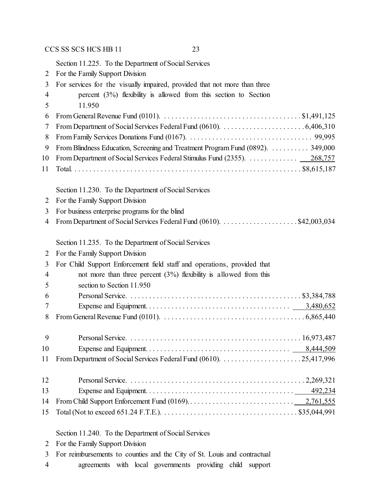Section 11.225. To the Department of Social Services

| 2              | For the Family Support Division                                                                                                |
|----------------|--------------------------------------------------------------------------------------------------------------------------------|
| 3              | For services for the visually impaired, provided that not more than three                                                      |
| 4              | percent $(3%)$ flexibility is allowed from this section to Section                                                             |
| 5              | 11.950                                                                                                                         |
| 6              | From General Revenue Fund (0101). $\ldots \ldots \ldots \ldots \ldots \ldots \ldots \ldots \ldots \ldots \ldots$ . \$1,491,125 |
| 7              |                                                                                                                                |
| 8              |                                                                                                                                |
| 9              | From Blindness Education, Screening and Treatment Program Fund (0892).  349,000                                                |
| 10             | From Department of Social Services Federal Stimulus Fund (2355).  268,757                                                      |
| 11             |                                                                                                                                |
|                | Section 11.230. To the Department of Social Services                                                                           |
| 2              | For the Family Support Division                                                                                                |
| 3              | For business enterprise programs for the blind                                                                                 |
| $\overline{4}$ |                                                                                                                                |
|                | Section 11.235. To the Department of Social Services                                                                           |
| 2              | For the Family Support Division                                                                                                |
| 3              | For Child Support Enforcement field staff and operations, provided that                                                        |
| $\overline{4}$ | not more than three percent $(3%)$ flexibility is allowed from this                                                            |
| 5              | section to Section 11.950                                                                                                      |
| 6              |                                                                                                                                |
| 7              |                                                                                                                                |
| 8              |                                                                                                                                |
| 9              |                                                                                                                                |
| 10             |                                                                                                                                |
| 11             |                                                                                                                                |
| 12             |                                                                                                                                |
| 13             |                                                                                                                                |
| 14             |                                                                                                                                |
| 15             |                                                                                                                                |
|                | Section 11.240. To the Department of Social Services                                                                           |

- For the Family Support Division
- For reimbursements to counties and the City of St. Louis and contractual
- agreements with local governments providing child support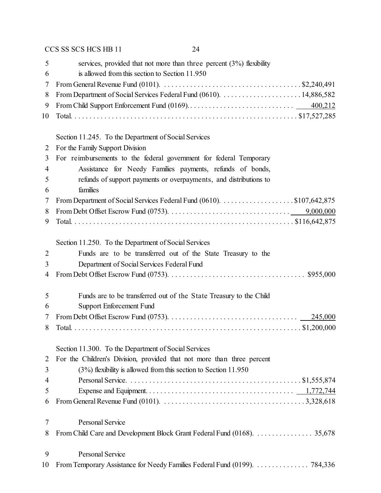| 5                        | services, provided that not more than three percent $(3%)$ flexibility                                                                   |
|--------------------------|------------------------------------------------------------------------------------------------------------------------------------------|
| 6                        | is allowed from this section to Section 11.950                                                                                           |
| 7                        | From General Revenue Fund (0101). $\dots \dots \dots \dots \dots \dots \dots \dots \dots \dots \dots \dots \dots$ \$2,240,491            |
| 8                        |                                                                                                                                          |
| 9                        |                                                                                                                                          |
| 10                       |                                                                                                                                          |
|                          | Section 11.245. To the Department of Social Services                                                                                     |
| 2                        | For the Family Support Division                                                                                                          |
| 3                        | For reimbursements to the federal government for federal Temporary                                                                       |
| $\overline{\mathcal{A}}$ | Assistance for Needy Families payments, refunds of bonds,                                                                                |
| 5                        | refunds of support payments or overpayments, and distributions to                                                                        |
| 6                        | families                                                                                                                                 |
| 7                        | From Department of Social Services Federal Fund (0610). \$107,642,875                                                                    |
| 8                        |                                                                                                                                          |
| 9                        |                                                                                                                                          |
|                          | Section 11.250. To the Department of Social Services                                                                                     |
| $\overline{2}$           | Funds are to be transferred out of the State Treasury to the                                                                             |
| 3                        | Department of Social Services Federal Fund                                                                                               |
| 4                        |                                                                                                                                          |
| 5                        | Funds are to be transferred out of the State Treasury to the Child                                                                       |
| 6                        | <b>Support Enforcement Fund</b>                                                                                                          |
| 7                        |                                                                                                                                          |
| 8                        |                                                                                                                                          |
|                          | Section 11.300. To the Department of Social Services                                                                                     |
| $\overline{2}$           | For the Children's Division, provided that not more than three percent                                                                   |
| 3                        | $(3%)$ flexibility is allowed from this section to Section 11.950                                                                        |
| 4                        |                                                                                                                                          |
| 5                        |                                                                                                                                          |
| 6                        | From General Revenue Fund (0101). $\ldots \ldots \ldots \ldots \ldots \ldots \ldots \ldots \ldots \ldots \ldots \ldots \ldots$ 3,328,618 |
| 7                        | <b>Personal Service</b>                                                                                                                  |
| 8                        | From Child Care and Development Block Grant Federal Fund (0168). 35,678                                                                  |
| 9                        | <b>Personal Service</b>                                                                                                                  |
| 10                       |                                                                                                                                          |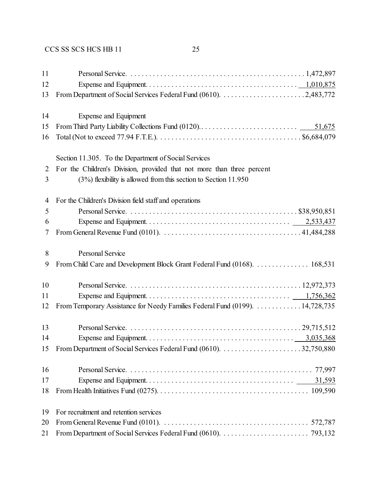| 11 |                                                                                                                                        |
|----|----------------------------------------------------------------------------------------------------------------------------------------|
| 12 |                                                                                                                                        |
| 13 |                                                                                                                                        |
| 14 | Expense and Equipment                                                                                                                  |
| 15 |                                                                                                                                        |
| 16 | Total (Not to exceed 77.94 F.T.E.). $\dots \dots \dots \dots \dots \dots \dots \dots \dots \dots \dots \dots \dots \$ \$6,684,079      |
|    | Section 11.305. To the Department of Social Services                                                                                   |
| 2  | For the Children's Division, provided that not more than three percent                                                                 |
| 3  | $(3%)$ flexibility is allowed from this section to Section 11.950                                                                      |
| 4  | For the Children's Division field staff and operations                                                                                 |
| 5  |                                                                                                                                        |
| 6  |                                                                                                                                        |
| 7  |                                                                                                                                        |
| 8  | Personal Service                                                                                                                       |
| 9  | From Child Care and Development Block Grant Federal Fund (0168). 168,531                                                               |
| 10 |                                                                                                                                        |
| 11 |                                                                                                                                        |
| 12 | From Temporary Assistance for Needy Families Federal Fund (0199). 14,728,735                                                           |
| 13 |                                                                                                                                        |
| 14 |                                                                                                                                        |
| 15 |                                                                                                                                        |
| 16 |                                                                                                                                        |
| 17 |                                                                                                                                        |
| 18 |                                                                                                                                        |
| 19 | For recruitment and retention services                                                                                                 |
| 20 | From General Revenue Fund (0101). $\ldots \ldots \ldots \ldots \ldots \ldots \ldots \ldots \ldots \ldots \ldots \ldots \ldots$ 572,787 |
| 21 |                                                                                                                                        |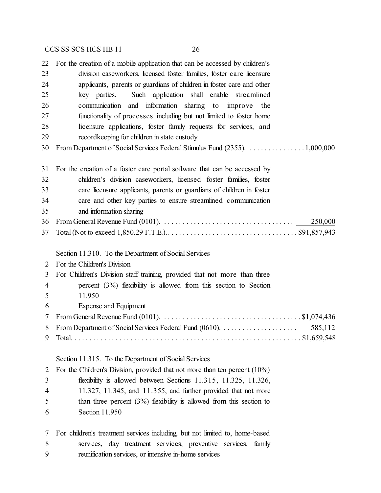For the creation of a mobile application that can be accessed by children's division caseworkers, licensed foster families, foster care licensure applicants, parents or guardians of children in foster care and other key parties. Such application shall enable streamlined communication and information sharing to improve the functionality of processes including but not limited to foster home licensure applications, foster family requests for services, and recordkeeping for children in state custody From Department of Social Services Federal Stimulus Fund (2355). . . . . . . . . . . . . . . . 1,000,000 For the creation of a foster care portal software that can be accessed by children's division caseworkers, licensed foster families, foster care licensure applicants, parents or guardians of children in foster care and other key parties to ensure streamlined communication and information sharing From General Revenue Fund (0101). . . . . . . . . . . . . . . . . . . . . . . . . . . . . . . . . . . . 250,000 Total (Not to exceed 1,850.29 F.T.E.).. . . . . . . . . . . . . . . . . . . . . . . . . . . . . . . . . . . \$91,857,943 Section 11.310. To the Department of Social Services For the Children's Division For Children's Division staff training, provided that not more than three percent (3%) flexibility is allowed from this section to Section 11.950 Expense and Equipment From General Revenue Fund (0101). . . . . . . . . . . . . . . . . . . . . . . . . . . . . . . . . . . . . . \$1,074,436 From Department of Social Services Federal Fund (0610). . . . . . . . . . . . . . . . . . . . . 585,112 Total. . . . . . . . . . . . . . . . . . . . . . . . . . . . . . . . . . . . . . . . . . . . . . . . . . . . . . . . . . . . . . \$1,659,548 Section 11.315. To the Department of Social Services For the Children's Division, provided that not more than ten percent (10%) flexibility is allowed between Sections 11.315, 11.325, 11.326, 11.327, 11.345, and 11.355, and further provided that not more 5 than three percent (3%) flexibility is allowed from this section to

Section 11.950

 For children's treatment services including, but not limited to, home-based services, day treatment services, preventive services, family reunification services, or intensive in-home services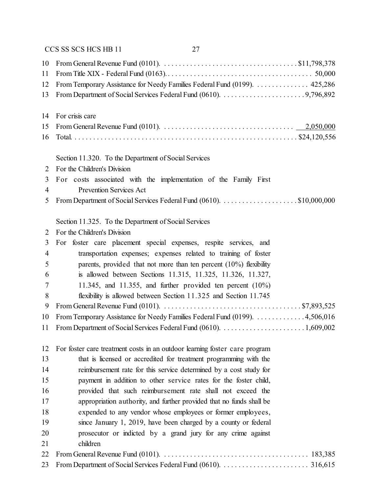| 10             | From General Revenue Fund (0101). $\ldots \ldots \ldots \ldots \ldots \ldots \ldots \ldots \ldots \ldots \ldots \ldots$ \$11,798,378            |
|----------------|-------------------------------------------------------------------------------------------------------------------------------------------------|
| 11             |                                                                                                                                                 |
| 12             | From Temporary Assistance for Needy Families Federal Fund (0199). 425,286                                                                       |
| 13             |                                                                                                                                                 |
| 14             | For crisis care                                                                                                                                 |
| 15             | From General Revenue Fund (0101). $\ldots \ldots \ldots \ldots \ldots \ldots \ldots \ldots \ldots \ldots \ldots \ldots \ldots \qquad 2,050,000$ |
| 16             |                                                                                                                                                 |
|                | Section 11.320. To the Department of Social Services                                                                                            |
| 2              | For the Children's Division                                                                                                                     |
| 3              | For costs associated with the implementation of the Family First                                                                                |
| 4              | Prevention Services Act                                                                                                                         |
| 5              |                                                                                                                                                 |
|                | Section 11.325. To the Department of Social Services                                                                                            |
| 2              | For the Children's Division                                                                                                                     |
| 3              | For foster care placement special expenses, respite services, and                                                                               |
| $\overline{4}$ | transportation expenses; expenses related to training of foster                                                                                 |
| 5              | parents, provided that not more than ten percent $(10\%)$ flexibility                                                                           |
| 6              | is allowed between Sections 11.315, 11.325, 11.326, 11.327,                                                                                     |
| 7              | 11.345, and 11.355, and further provided ten percent $(10\%)$                                                                                   |
| 8              | flexibility is allowed between Section 11.325 and Section 11.745                                                                                |
| 9              | From General Revenue Fund (0101). $\ldots \ldots \ldots \ldots \ldots \ldots \ldots \ldots \ldots \ldots \ldots \ldots$ \$7,893,525             |
| 10             | From Temporary Assistance for Needy Families Federal Fund (0199). 4,506,016                                                                     |
| 11             |                                                                                                                                                 |
| 12             | For foster care treatment costs in an outdoor learning foster care program                                                                      |
| 13             | that is licensed or accredited for treatment programming with the                                                                               |
| 14             | reimbursement rate for this service determined by a cost study for                                                                              |
| 15             | payment in addition to other service rates for the foster child,                                                                                |
| 16             | provided that such reimbursement rate shall not exceed the                                                                                      |
| 17             | appropriation authority, and further provided that no funds shall be                                                                            |
| 18             | expended to any vendor whose employees or former employees,                                                                                     |
| 19             | since January 1, 2019, have been charged by a county or federal                                                                                 |
| 20             | prosecutor or indicted by a grand jury for any crime against                                                                                    |
| 21             | children                                                                                                                                        |
| 22             |                                                                                                                                                 |
| 23             |                                                                                                                                                 |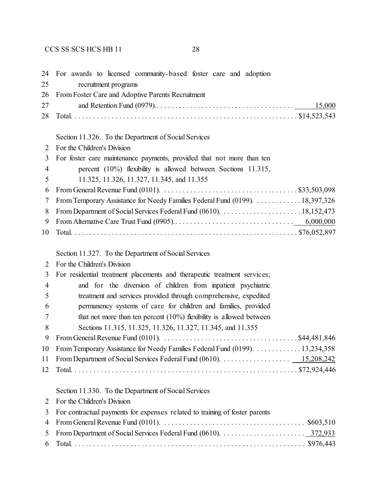| 24             | For awards to licensed community-based foster care and adoption                                                               |
|----------------|-------------------------------------------------------------------------------------------------------------------------------|
| 25             | recruitment programs                                                                                                          |
| 26             | From Foster Care and Adoptive Parents Recruitment                                                                             |
| 27             | 15,000                                                                                                                        |
| 28             |                                                                                                                               |
|                |                                                                                                                               |
|                | Section 11.326. To the Department of Social Services                                                                          |
| 2              | For the Children's Division                                                                                                   |
| 3              | For foster care maintenance payments, provided that not more than ten                                                         |
| $\overline{4}$ | percent $(10\%)$ flexibility is allowed between Sections 11.315,                                                              |
| 5              | 11.325, 11.326, 11.327, 11.345, and 11.355                                                                                    |
| 6              | From General Revenue Fund (0101). $\ldots \ldots \ldots \ldots \ldots \ldots \ldots \ldots \ldots \ldots \ldots$ \$33,503,098 |
| 7              | From Temporary Assistance for Needy Families Federal Fund (0199). 18,397,326                                                  |
| 8              |                                                                                                                               |
| 9              |                                                                                                                               |
| 10             |                                                                                                                               |
|                |                                                                                                                               |
|                | Section 11.327. To the Department of Social Services                                                                          |
| 2              | For the Children's Division                                                                                                   |
| 3              | For residential treatment placements and therapeutic treatment services;                                                      |
| $\overline{4}$ | and for the diversion of children from inpatient psychiatric                                                                  |
| 5              | treatment and services provided through comprehensive, expedited                                                              |
| 6              | permanency systems of care for children and families, provided                                                                |
| 7              | that not more than ten percent $(10\%)$ flexibility is allowed between                                                        |
| 8              | Sections 11.315, 11.325, 11.326, 11.327, 11.345, and 11.355                                                                   |
| 9              |                                                                                                                               |
| 10             | From Temporary Assistance for Needy Families Federal Fund (0199). 13,234,358                                                  |
| 11             |                                                                                                                               |
| 12             |                                                                                                                               |
|                |                                                                                                                               |
|                | Section 11.330. To the Department of Social Services                                                                          |
| $\overline{2}$ | For the Children's Division                                                                                                   |
| 3              | For contractual payments for expenses related to training of foster parents                                                   |
| 4              | From General Revenue Fund (0101). $\ldots \ldots \ldots \ldots \ldots \ldots \ldots \ldots \ldots \ldots \ldots$ \$603,510    |
| 5              |                                                                                                                               |
| 6              |                                                                                                                               |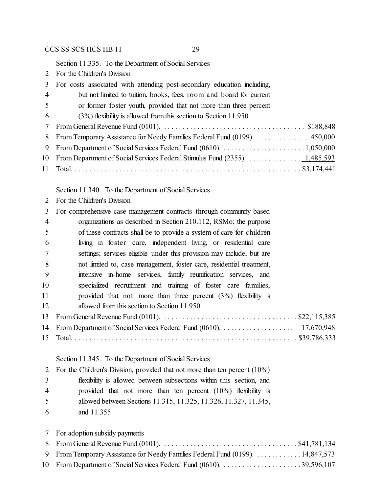Section 11.335. To the Department of Social Services

For the Children's Division

| 3              | For costs associated with attending post-secondary education including,    |
|----------------|----------------------------------------------------------------------------|
| $\overline{4}$ | but not limited to tuition, books, fees, room and board for current        |
| 5              | or former foster youth, provided that not more than three percent          |
| 6              | $(3%)$ flexibility is allowed from this section to Section 11.950          |
| 7              |                                                                            |
| 8              | From Temporary Assistance for Needy Families Federal Fund (0199).  450,000 |
| 9              |                                                                            |
|                |                                                                            |
|                |                                                                            |

Section 11.340. To the Department of Social Services

For the Children's Division

| 3              | For comprehensive case management contracts through community-based   |
|----------------|-----------------------------------------------------------------------|
| $\overline{4}$ | organizations as described in Section 210.112, RSMo; the purpose      |
| 5              | of these contracts shall be to provide a system of care for children  |
| 6              | living in foster care, independent living, or residential care        |
| 7              | settings; services eligible under this provision may include, but are |
| 8              | not limited to, case management, foster care, residential treatment,  |
| 9              | intensive in-home services, family reunification services, and        |
| 10             | specialized recruitment and training of foster care families,         |
| 11             | provided that not more than three percent $(3%)$ flexibility is       |
| 12             | allowed from this section to Section 11.950                           |
| 13             |                                                                       |
|                |                                                                       |
| 15             |                                                                       |
|                |                                                                       |

# Section 11.345. To the Department of Social Services

|                | 2 For the Children's Division, provided that not more than ten percent (10%) |
|----------------|------------------------------------------------------------------------------|
| 3              | flexibility is allowed between subsections within this section, and          |
| $\overline{4}$ | provided that not more than ten percent $(10\%)$ flexibility is              |
| 5              | allowed between Sections 11.315, 11.325, 11.326, 11.327, 11.345,             |
| 6              | and 11.355                                                                   |

| 7 For adoption subsidy payments                                                |
|--------------------------------------------------------------------------------|
|                                                                                |
| 9 From Temporary Assistance for Needy Families Federal Fund (0199). 14,847,573 |
|                                                                                |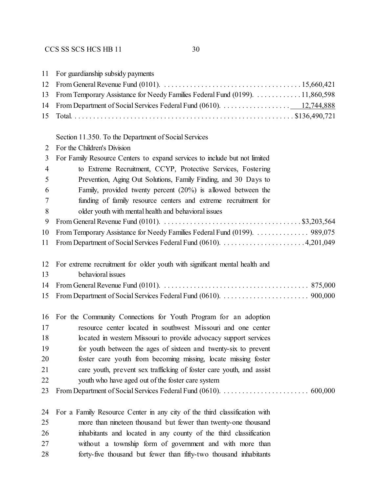| 11             | For guardianship subsidy payments                                            |
|----------------|------------------------------------------------------------------------------|
| 12             |                                                                              |
| 13             | From Temporary Assistance for Needy Families Federal Fund (0199). 11,860,598 |
| 14             | From Department of Social Services Federal Fund (0610). 12,744,888           |
| 15             |                                                                              |
|                |                                                                              |
|                | Section 11.350. To the Department of Social Services                         |
| 2              | For the Children's Division                                                  |
| 3              | For Family Resource Centers to expand services to include but not limited    |
| $\overline{4}$ | to Extreme Recruitment, CCYP, Protective Services, Fostering                 |
| 5              | Prevention, Aging Out Solutions, Family Finding, and 30 Days to              |
| 6              | Family, provided twenty percent $(20\%)$ is allowed between the              |
| 7              | funding of family resource centers and extreme recruitment for               |
| 8              | older youth with mental health and behavioral issues                         |
| 9              |                                                                              |
| 10             | From Temporary Assistance for Needy Families Federal Fund (0199).  989,075   |
| 11             |                                                                              |
| 12             | For extreme recruitment for older youth with significant mental health and   |
| 13             | behavioral issues                                                            |
| 14             |                                                                              |
| 15             |                                                                              |
| 16             | For the Community Connections for Youth Program for an adoption              |
| 17             | resource center located in southwest Missouri and one center                 |
| 18             | located in western Missouri to provide advocacy support services             |
| 19             | for youth between the ages of sixteen and twenty-six to prevent              |
| 20             | foster care youth from becoming missing, locate missing foster               |
| 21             | care youth, prevent sex trafficking of foster care youth, and assist         |
| 22             | youth who have aged out of the foster care system                            |
| 23             |                                                                              |
| 24             | For a Family Resource Center in any city of the third classification with    |
| 25             | more than nineteen thousand but fewer than twenty-one thousand               |
| 26             | inhabitants and located in any county of the third classification            |
| 27             | without a township form of government and with more than                     |
| 28             | forty-five thousand but fewer than fifty-two thousand inhabitants            |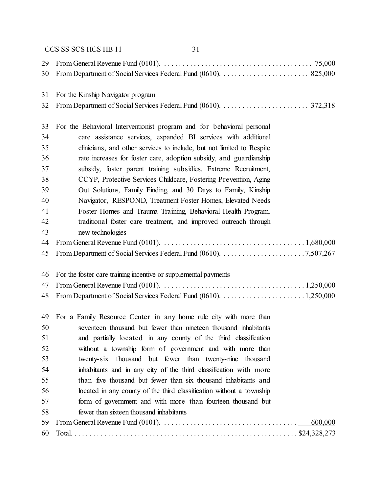|    | 31<br>CCS SS SCS HCS HB 11                                                                                                  |
|----|-----------------------------------------------------------------------------------------------------------------------------|
| 29 |                                                                                                                             |
| 30 |                                                                                                                             |
| 31 | For the Kinship Navigator program                                                                                           |
| 32 |                                                                                                                             |
| 33 | For the Behavioral Interventionist program and for behavioral personal                                                      |
| 34 | care assistance services, expanded BI services with additional                                                              |
| 35 | clinicians, and other services to include, but not limited to Respite                                                       |
| 36 | rate increases for foster care, adoption subsidy, and guardianship                                                          |
| 37 | subsidy, foster parent training subsidies, Extreme Recruitment,                                                             |
| 38 | CCYP, Protective Services Childcare, Fostering Prevention, Aging                                                            |
| 39 | Out Solutions, Family Finding, and 30 Days to Family, Kinship                                                               |
| 40 | Navigator, RESPOND, Treatment Foster Homes, Elevated Needs                                                                  |
| 41 | Foster Homes and Trauma Training, Behavioral Health Program,                                                                |
| 42 | traditional foster care treatment, and improved outreach through                                                            |
| 43 | new technologies                                                                                                            |
| 44 |                                                                                                                             |
| 45 |                                                                                                                             |
| 46 | For the foster care training incentive or supplemental payments                                                             |
| 47 |                                                                                                                             |
| 48 |                                                                                                                             |
| 49 | For a Family Resource Center in any home rule city with more than                                                           |
| 50 | seventeen thousand but fewer than nineteen thousand inhabitants                                                             |
| 51 | and partially located in any county of the third classification                                                             |
| 52 | without a township form of government and with more than                                                                    |
| 53 | twenty-six thousand but fewer than twenty-nine thousand                                                                     |
| 54 | inhabitants and in any city of the third classification with more                                                           |
| 55 | than five thousand but fewer than six thousand inhabitants and                                                              |
| 56 | located in any county of the third classification without a township                                                        |
| 57 | form of government and with more than fourteen thousand but                                                                 |
| 58 | fewer than sixteen thousand inhabitants                                                                                     |
| 59 | From General Revenue Fund (0101). $\ldots \ldots \ldots \ldots \ldots \ldots \ldots \ldots \ldots \ldots \ldots$<br>600,000 |
| 60 |                                                                                                                             |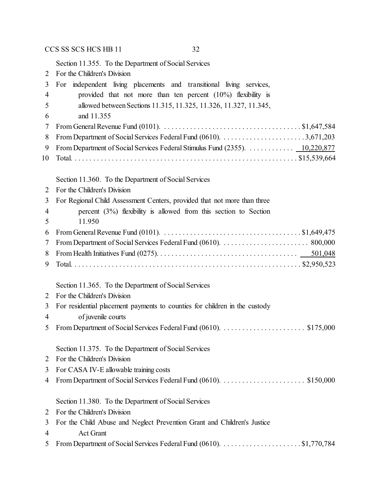Section 11.355. To the Department of Social Services

| $\overline{2}$ | For the Children's Division                                                                                         |
|----------------|---------------------------------------------------------------------------------------------------------------------|
| 3              | For independent living placements and transitional living services,                                                 |
| $\overline{4}$ | provided that not more than ten percent $(10\%)$ flexibility is                                                     |
| 5              | allowed between Sections 11.315, 11.325, 11.326, 11.327, 11.345,                                                    |
| 6              | and 11.355                                                                                                          |
| 7              |                                                                                                                     |
| 8              |                                                                                                                     |
| 9              | From Department of Social Services Federal Stimulus Fund (2355).  10,220,877                                        |
| 10             |                                                                                                                     |
|                |                                                                                                                     |
|                | Section 11.360. To the Department of Social Services                                                                |
| $\overline{2}$ | For the Children's Division                                                                                         |
| 3              | For Regional Child Assessment Centers, provided that not more than three                                            |
| $\overline{4}$ | percent $(3%)$ flexibility is allowed from this section to Section                                                  |
| 5              | 11.950                                                                                                              |
| 6              | From General Revenue Fund (0101). $\dots \dots \dots \dots \dots \dots \dots \dots \dots \dots \dots \$ \$1,649,475 |
| 7              |                                                                                                                     |
| 8              |                                                                                                                     |
| 9              |                                                                                                                     |
|                |                                                                                                                     |
|                | Section 11.365. To the Department of Social Services                                                                |
| $\overline{2}$ | For the Children's Division                                                                                         |
| 3              | For residential placement payments to counties for children in the custody                                          |
| $\overline{4}$ | of juvenile courts                                                                                                  |
| 5              |                                                                                                                     |

- Section 11.375. To the Department of Social Services
- For the Children's Division
- For CASA IV-E allowable training costs
- From Department of Social Services Federal Fund (0610). . . . . . . . . . . . . . . . . . . . . . . \$150,000

#### Section 11.380. To the Department of Social Services

- For the Children's Division
- For the Child Abuse and Neglect Prevention Grant and Children's Justice
- Act Grant
- From Department of Social Services Federal Fund (0610). . . . . . . . . . . . . . . . . . . . . . \$1,770,784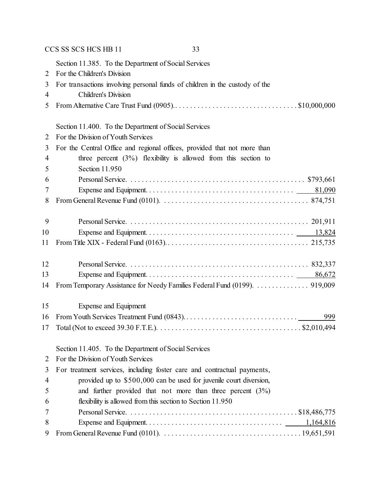|    | CCS SS SCS HCS HB 11<br>33                                                  |
|----|-----------------------------------------------------------------------------|
|    | Section 11.385. To the Department of Social Services                        |
| 2  | For the Children's Division                                                 |
| 3  | For transactions involving personal funds of children in the custody of the |
| 4  | Children's Division                                                         |
| 5  |                                                                             |
|    | Section 11.400. To the Department of Social Services                        |
| 2  | For the Division of Youth Services                                          |
| 3  | For the Central Office and regional offices, provided that not more than    |
| 4  | three percent $(3\%)$ flexibility is allowed from this section to           |
| 5  | Section 11.950                                                              |
| 6  |                                                                             |
| 7  |                                                                             |
| 8  |                                                                             |
| 9  |                                                                             |
| 10 |                                                                             |
| 11 |                                                                             |
| 12 |                                                                             |
| 13 | 86,672                                                                      |
| 14 | From Temporary Assistance for Needy Families Federal Fund (0199).  919,009  |
| 15 | Expense and Equipment                                                       |
| 16 |                                                                             |
| 17 |                                                                             |
|    | Section 11.405. To the Department of Social Services                        |
| 2  | For the Division of Youth Services                                          |
| 3  | For treatment services, including foster care and contractual payments,     |
| 4  | provided up to \$500,000 can be used for juvenile court diversion,          |
| 5  | and further provided that not more than three percent $(3\%)$               |
| 6  | flexibility is allowed from this section to Section 11.950                  |
| 7  |                                                                             |
| 8  | 1,164,816                                                                   |
| 9  |                                                                             |
|    |                                                                             |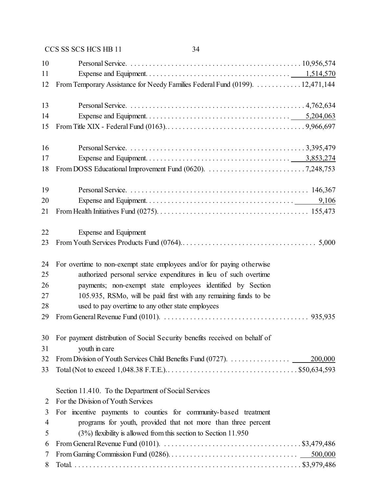|    | CCS SS SCS HCS HB 11<br>34                                                                                                             |
|----|----------------------------------------------------------------------------------------------------------------------------------------|
| 10 |                                                                                                                                        |
| 11 |                                                                                                                                        |
| 12 | From Temporary Assistance for Needy Families Federal Fund (0199). 12,471,144                                                           |
| 13 |                                                                                                                                        |
| 14 |                                                                                                                                        |
| 15 |                                                                                                                                        |
| 16 |                                                                                                                                        |
| 17 |                                                                                                                                        |
| 18 |                                                                                                                                        |
| 19 |                                                                                                                                        |
| 20 |                                                                                                                                        |
| 21 |                                                                                                                                        |
| 22 | <b>Expense and Equipment</b>                                                                                                           |
| 23 |                                                                                                                                        |
| 24 | For overtime to non-exempt state employees and/or for paying otherwise                                                                 |
| 25 | authorized personal service expenditures in lieu of such overtime                                                                      |
| 26 | payments; non-exempt state employees identified by Section                                                                             |
| 27 | 105.935, RSMo, will be paid first with any remaining funds to be                                                                       |
| 28 | used to pay overtime to any other state employees                                                                                      |
| 29 | From General Revenue Fund (0101). $\ldots \ldots \ldots \ldots \ldots \ldots \ldots \ldots \ldots \ldots \ldots \ldots \ldots$ 935,935 |
| 30 | For payment distribution of Social Security benefits received on behalf of                                                             |
| 31 | youth in care                                                                                                                          |
| 32 | 200,000                                                                                                                                |
| 33 |                                                                                                                                        |
|    | Section 11.410. To the Department of Social Services                                                                                   |
| 2  | For the Division of Youth Services                                                                                                     |
| 3  | For incentive payments to counties for community-based treatment                                                                       |
| 4  | programs for youth, provided that not more than three percent                                                                          |
| 5  | $(3%)$ flexibility is allowed from this section to Section 11.950                                                                      |
| 6  | From General Revenue Fund (0101). $\ldots \ldots \ldots \ldots \ldots \ldots \ldots \ldots \ldots \ldots \ldots$ \$3,479,486           |
| 7  | 500,000                                                                                                                                |
| 8  |                                                                                                                                        |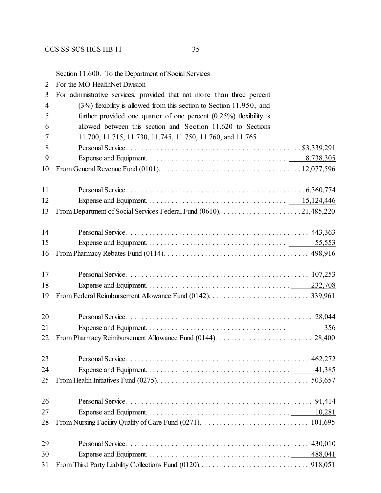Section 11.600. To the Department of Social Services

| 2 | For the MO HealthNet Division |
|---|-------------------------------|
|   |                               |

| 3              | For administrative services, provided that not more than three percent                                                                    |
|----------------|-------------------------------------------------------------------------------------------------------------------------------------------|
| $\overline{4}$ | $(3%)$ flexibility is allowed from this section to Section 11.950, and                                                                    |
| 5              | further provided one quarter of one percent $(0.25\%)$ flexibility is                                                                     |
| 6              | allowed between this section and Section 11.620 to Sections                                                                               |
| 7              | 11.700, 11.715, 11.730, 11.745, 11.750, 11.760, and 11.765                                                                                |
| 8              |                                                                                                                                           |
| 9              |                                                                                                                                           |
| 10             | From General Revenue Fund (0101). $\ldots \ldots \ldots \ldots \ldots \ldots \ldots \ldots \ldots \ldots \ldots \ldots \ldots 12,077,596$ |
| 11             |                                                                                                                                           |
| 12             |                                                                                                                                           |
| 13             |                                                                                                                                           |
| 14             |                                                                                                                                           |
| 15             | 55,553                                                                                                                                    |
| 16             |                                                                                                                                           |
| 17             |                                                                                                                                           |
| 18             |                                                                                                                                           |
| 19             |                                                                                                                                           |
| 20             |                                                                                                                                           |
| 21             | 356                                                                                                                                       |
| 22             |                                                                                                                                           |
| 23             |                                                                                                                                           |
| 24             |                                                                                                                                           |
| 25             |                                                                                                                                           |
| 26             |                                                                                                                                           |
| 27             |                                                                                                                                           |
| 28             |                                                                                                                                           |
| 29             |                                                                                                                                           |
| 30             | 488,041                                                                                                                                   |
| 31             |                                                                                                                                           |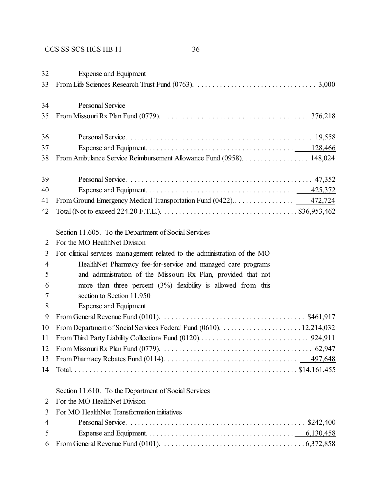| 32<br>33       | <b>Expense and Equipment</b>                                                                                                            |
|----------------|-----------------------------------------------------------------------------------------------------------------------------------------|
| 34             | <b>Personal Service</b>                                                                                                                 |
| 35             |                                                                                                                                         |
|                |                                                                                                                                         |
| 36             |                                                                                                                                         |
| 37             |                                                                                                                                         |
| 38             | From Ambulance Service Reimbursement Allowance Fund (0958). 148,024                                                                     |
| 39             |                                                                                                                                         |
| 40             |                                                                                                                                         |
| 41             |                                                                                                                                         |
| 42             |                                                                                                                                         |
|                | Section 11.605. To the Department of Social Services                                                                                    |
| 2              | For the MO HealthNet Division                                                                                                           |
| 3              | For clinical services management related to the administration of the MO                                                                |
| $\overline{4}$ | HealthNet Pharmacy fee-for-service and managed care programs                                                                            |
| 5              | and administration of the Missouri Rx Plan, provided that not                                                                           |
| 6              | more than three percent $(3%)$ flexibility is allowed from this                                                                         |
| 7              | section to Section 11.950                                                                                                               |
| 8              | <b>Expense and Equipment</b>                                                                                                            |
| 9              | From General Revenue Fund (0101). $\ldots \ldots \ldots \ldots \ldots \ldots \ldots \ldots \ldots \ldots$ \$461,917                     |
| 10             |                                                                                                                                         |
| 11             |                                                                                                                                         |
| 12             |                                                                                                                                         |
| 13             | From Pharmacy Rebates Fund (0114). $\ldots \ldots \ldots \ldots \ldots \ldots \ldots \ldots \ldots \ldots \ldots \qquad \qquad 497,648$ |
| 14             |                                                                                                                                         |
|                | Section 11.610. To the Department of Social Services                                                                                    |
| $\overline{2}$ | For the MO HealthNet Division                                                                                                           |
| 3              | For MO HealthNet Transformation initiatives                                                                                             |
| $\overline{4}$ |                                                                                                                                         |
| 5              |                                                                                                                                         |
| 6              |                                                                                                                                         |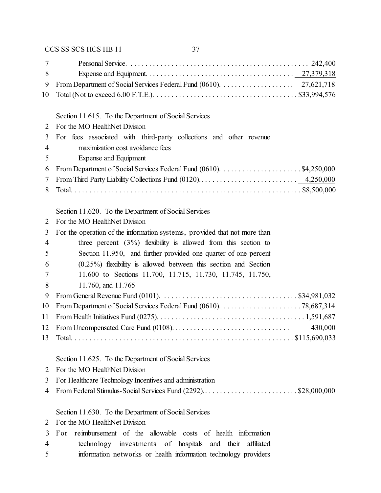| 7  |                                                                                                                               |
|----|-------------------------------------------------------------------------------------------------------------------------------|
| 8  |                                                                                                                               |
| 9  |                                                                                                                               |
| 10 |                                                                                                                               |
|    |                                                                                                                               |
|    | Section 11.615. To the Department of Social Services                                                                          |
| 2  | For the MO HealthNet Division                                                                                                 |
| 3  | For fees associated with third-party collections and other revenue                                                            |
| 4  | maximization cost avoidance fees                                                                                              |
| 5  | Expense and Equipment                                                                                                         |
| 6  |                                                                                                                               |
| 7  |                                                                                                                               |
| 8  |                                                                                                                               |
|    | Section 11.620. To the Department of Social Services                                                                          |
| 2  | For the MO HealthNet Division                                                                                                 |
| 3  | For the operation of the information systems, provided that not more than                                                     |
| 4  | three percent $(3\%)$ flexibility is allowed from this section to                                                             |
| 5  | Section 11.950, and further provided one quarter of one percent                                                               |
| 6  | $(0.25\%)$ flexibility is allowed between this section and Section                                                            |
| 7  | 11.600 to Sections 11.700, 11.715, 11.730, 11.745, 11.750,                                                                    |
| 8  | 11.760, and 11.765                                                                                                            |
| 9  | From General Revenue Fund (0101). $\ldots \ldots \ldots \ldots \ldots \ldots \ldots \ldots \ldots \ldots \ldots$ \$34,981,032 |
| 10 |                                                                                                                               |
| 11 |                                                                                                                               |
| 12 |                                                                                                                               |
| 13 |                                                                                                                               |
|    | Section 11.625. To the Department of Social Services                                                                          |
| 2  | For the MO HealthNet Division                                                                                                 |
| 3  | For Healthcare Technology Incentives and administration                                                                       |
| 4  | From Federal Stimulus-Social Services Fund (2292)\$28,000,000                                                                 |
|    | Section 11.630. To the Department of Social Services                                                                          |
| 2  | For the MO HealthNet Division                                                                                                 |
| 3  | reimbursement of the allowable costs of health information<br>For                                                             |
| 4  | technology investments of hospitals and their<br>affiliated                                                                   |
| 5  | information networks or health information technology providers                                                               |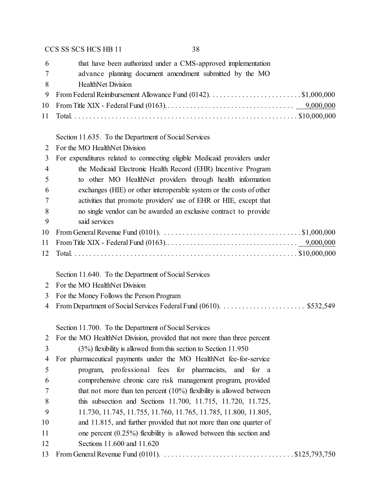| 6<br>7         | that have been authorized under a CMS-approved implementation                                                                  |
|----------------|--------------------------------------------------------------------------------------------------------------------------------|
| 8              | advance planning document amendment submitted by the MO<br><b>HealthNet Division</b>                                           |
| 9              |                                                                                                                                |
| 10             |                                                                                                                                |
| 11             |                                                                                                                                |
|                | Section 11.635. To the Department of Social Services                                                                           |
| 2              | For the MO HealthNet Division                                                                                                  |
| 3              | For expenditures related to connecting eligible Medicaid providers under                                                       |
| $\overline{4}$ | the Medicaid Electronic Health Record (EHR) Incentive Program                                                                  |
| 5              | to other MO HealthNet providers through health information                                                                     |
| 6              | exchanges (HIE) or other interoperable system or the costs of other                                                            |
| 7              | activities that promote providers' use of EHR or HIE, except that                                                              |
| 8              | no single vendor can be awarded an exclusive contract to provide                                                               |
| 9              | said services                                                                                                                  |
| 10             |                                                                                                                                |
| 11             |                                                                                                                                |
| 12             |                                                                                                                                |
|                | Section 11.640. To the Department of Social Services                                                                           |
| 2              | For the MO HealthNet Division                                                                                                  |
| 3              | For the Money Follows the Person Program                                                                                       |
| 4              |                                                                                                                                |
|                | Section 11.700. To the Department of Social Services                                                                           |
| 2              | For the MO HealthNet Division, provided that not more than three percent                                                       |
| 3              | $(3%)$ flexibility is allowed from this section to Section 11.950                                                              |
| 4              | For pharmaceutical payments under the MO HealthNet fee-for-service                                                             |
| 5              | program, professional fees for pharmacists, and for a                                                                          |
| 6              | comprehensive chronic care risk management program, provided                                                                   |
| 7              | that not more than ten percent $(10\%)$ flexibility is allowed between                                                         |
| 8              | this subsection and Sections 11.700, 11.715, 11.720, 11.725,                                                                   |
| 9              | 11.730, 11.745, 11.755, 11.760, 11.765, 11.785, 11.800, 11.805,                                                                |
| 10             | and 11.815, and further provided that not more than one quarter of                                                             |
| 11             | one percent $(0.25\%)$ flexibility is allowed between this section and                                                         |
| 12             | Sections 11.600 and 11.620                                                                                                     |
| 13             | From General Revenue Fund (0101). $\ldots \ldots \ldots \ldots \ldots \ldots \ldots \ldots \ldots \ldots \ldots$ \$125,793,750 |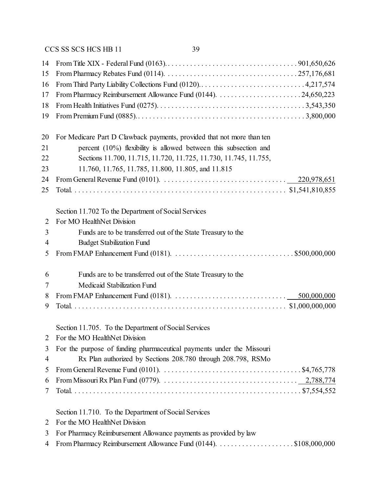| 14<br>15       |                                                                                                                                    |
|----------------|------------------------------------------------------------------------------------------------------------------------------------|
| 16             |                                                                                                                                    |
| 17             |                                                                                                                                    |
| 18             |                                                                                                                                    |
| 19             |                                                                                                                                    |
|                |                                                                                                                                    |
| 20             | For Medicare Part D Clawback payments, provided that not more than ten                                                             |
| 21             | percent (10%) flexibility is allowed between this subsection and                                                                   |
| 22             | Sections 11.700, 11.715, 11.720, 11.725, 11.730, 11.745, 11.755,                                                                   |
| 23             | 11.760, 11.765, 11.785, 11.800, 11.805, and 11.815                                                                                 |
| 24             | From General Revenue Fund (0101). $\ldots \ldots \ldots \ldots \ldots \ldots \ldots \ldots \ldots \ldots \qquad 220,978,651$       |
| 25             |                                                                                                                                    |
|                | Section 11.702 To the Department of Social Services                                                                                |
| $\overline{2}$ | For MO HealthNet Division                                                                                                          |
| 3              | Funds are to be transferred out of the State Treasury to the                                                                       |
| 4              | <b>Budget Stabilization Fund</b>                                                                                                   |
| 5              | From FMAP Enhancement Fund (0181). $\ldots \ldots \ldots \ldots \ldots \ldots \ldots \ldots \ldots \ldots \ldots$ \$500,000,000    |
| 6              | Funds are to be transferred out of the State Treasury to the                                                                       |
| 7              | Medicaid Stabilization Fund                                                                                                        |
| 8              | From FMAP Enhancement Fund (0181). $\ldots \ldots \ldots \ldots \ldots \ldots \ldots \ldots \ldots \ldots \ldots$ 500,000,000      |
| 9              |                                                                                                                                    |
|                | Section 11.705. To the Department of Social Services                                                                               |
|                | For the MO HealthNet Division                                                                                                      |
| 3              | For the purpose of funding pharmaceutical payments under the Missouri                                                              |
| 4              | Rx Plan authorized by Sections 208.780 through 208.798, RSMo                                                                       |
| 5              | From General Revenue Fund (0101). $\ldots \ldots \ldots \ldots \ldots \ldots \ldots \ldots \ldots \ldots \ldots$ \$4,765,778       |
| 6              | From Missouri Rx Plan Fund (0779). $\ldots \ldots \ldots \ldots \ldots \ldots \ldots \ldots \ldots \ldots \ldots \ldots 2,788,774$ |
| 7              |                                                                                                                                    |
|                | Section 11.710. To the Department of Social Services                                                                               |
| 2              | For the MO HealthNet Division                                                                                                      |
| 3              | For Pharmacy Reimbursement Allowance payments as provided by law                                                                   |
| 4              |                                                                                                                                    |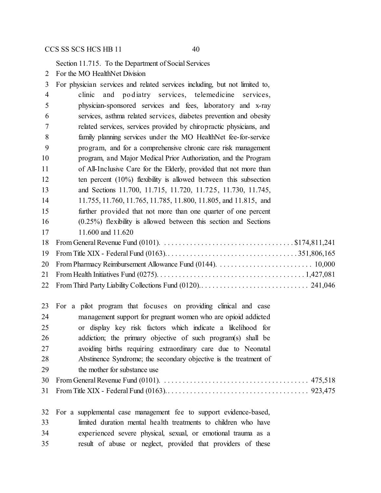Section 11.715. To the Department of Social Services

For the MO HealthNet Division

| 3  | For physician services and related services including, but not limited to,                                              |
|----|-------------------------------------------------------------------------------------------------------------------------|
| 4  | and podiatry services, telemedicine services,<br>clinic                                                                 |
| 5  | physician-sponsored services and fees, laboratory and x-ray                                                             |
| 6  | services, asthma related services, diabetes prevention and obesity                                                      |
| 7  | related services, services provided by chiropractic physicians, and                                                     |
| 8  | family planning services under the MO HealthNet fee-for-service                                                         |
| 9  | program, and for a comprehensive chronic care risk management                                                           |
| 10 | program, and Major Medical Prior Authorization, and the Program                                                         |
| 11 | of All-Inclusive Care for the Elderly, provided that not more than                                                      |
| 12 | ten percent $(10\%)$ flexibility is allowed between this subsection                                                     |
| 13 | and Sections 11.700, 11.715, 11.720, 11.725, 11.730, 11.745,                                                            |
| 14 | 11.755, 11.760, 11.765, 11.785, 11.800, 11.805, and 11.815, and                                                         |
| 15 | further provided that not more than one quarter of one percent                                                          |
| 16 | $(0.25\%)$ flexibility is allowed between this section and Sections                                                     |
| 17 | 11.600 and 11.620                                                                                                       |
| 18 | From General Revenue Fund (0101). $\ldots \ldots \ldots \ldots \ldots \ldots \ldots \ldots \ldots \ldots$ \$174,811,241 |
| 19 |                                                                                                                         |
| 20 |                                                                                                                         |
| 21 |                                                                                                                         |
| 22 |                                                                                                                         |
|    |                                                                                                                         |

|    | 23 For a pilot program that focuses on providing clinical and case |
|----|--------------------------------------------------------------------|
| 24 | management support for pregnant women who are opioid addicted      |
| 25 | or display key risk factors which indicate a likelihood for        |
| 26 | addiction; the primary objective of such program(s) shall be       |
| 27 | avoiding births requiring extraordinary care due to Neonatal       |
| 28 | Abstinence Syndrome; the secondary objective is the treatment of   |
| 29 | the mother for substance use                                       |
| 30 |                                                                    |
|    |                                                                    |
|    |                                                                    |

|    | 32 For a supplemental case management fee to support evidence-based, |
|----|----------------------------------------------------------------------|
| 33 | limited duration mental health treatments to children who have       |
| 34 | experienced severe physical, sexual, or emotional trauma as a        |
| 35 | result of abuse or neglect, provided that providers of these         |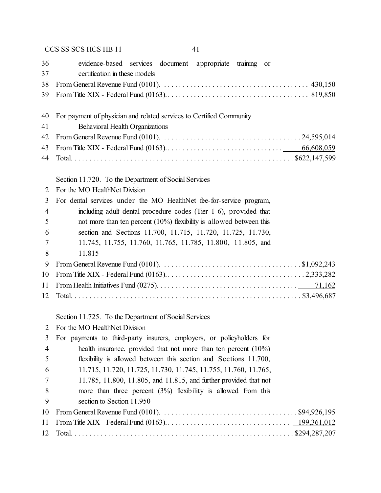| 36             | evidence-based services document appropriate training or                                                                      |
|----------------|-------------------------------------------------------------------------------------------------------------------------------|
| 37             | certification in these models                                                                                                 |
| 38             |                                                                                                                               |
| 39             |                                                                                                                               |
|                |                                                                                                                               |
| 40             | For payment of physician and related services to Certified Community                                                          |
| 41             | <b>Behavioral Health Organizations</b>                                                                                        |
| 42             |                                                                                                                               |
| 43             |                                                                                                                               |
| 44             |                                                                                                                               |
|                |                                                                                                                               |
|                | Section 11.720. To the Department of Social Services                                                                          |
| 2              | For the MO HealthNet Division                                                                                                 |
| 3              | For dental services under the MO HealthNet fee-for-service program,                                                           |
| 4              | including adult dental procedure codes (Tier 1-6), provided that                                                              |
| 5              | not more than ten percent $(10\%)$ flexibility is allowed between this                                                        |
| 6              | section and Sections 11.700, 11.715, 11.720, 11.725, 11.730,                                                                  |
| 7              | 11.745, 11.755, 11.760, 11.765, 11.785, 11.800, 11.805, and                                                                   |
| 8              | 11.815                                                                                                                        |
| 9              | From General Revenue Fund (0101). $\ldots \ldots \ldots \ldots \ldots \ldots \ldots \ldots \ldots \ldots \ldots$ \$1,092,243  |
| 10             |                                                                                                                               |
| 11             |                                                                                                                               |
| 12             |                                                                                                                               |
|                |                                                                                                                               |
|                | Section 11.725. To the Department of Social Services                                                                          |
| 2              | For the MO HealthNet Division                                                                                                 |
| 3              | For payments to third-party insurers, employers, or policyholders for                                                         |
| $\overline{4}$ | health insurance, provided that not more than ten percent $(10\%)$                                                            |
| 5              | flexibility is allowed between this section and Sections 11.700,                                                              |
| 6              | 11.715, 11.720, 11.725, 11.730, 11.745, 11.755, 11.760, 11.765,                                                               |
| 7              | 11.785, 11.800, 11.805, and 11.815, and further provided that not                                                             |
| 8              | more than three percent $(3%)$ flexibility is allowed from this                                                               |
| 9              | section to Section 11.950                                                                                                     |
| 10             | From General Revenue Fund (0101). $\ldots \ldots \ldots \ldots \ldots \ldots \ldots \ldots \ldots \ldots \ldots$ \$94,926,195 |
| 11             |                                                                                                                               |
| 12             |                                                                                                                               |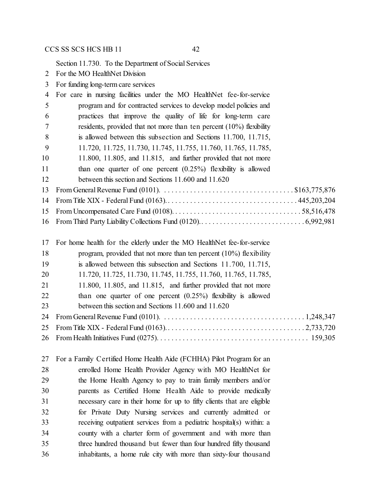Section 11.730. To the Department of Social Services

- For the MO HealthNet Division
- For funding long-term care services

| $\overline{4}$ | For care in nursing facilities under the MO HealthNet fee-for-service                                                                    |
|----------------|------------------------------------------------------------------------------------------------------------------------------------------|
| 5              | program and for contracted services to develop model policies and                                                                        |
| 6              | practices that improve the quality of life for long-term care                                                                            |
| $\tau$         | residents, provided that not more than ten percent $(10\%)$ flexibility                                                                  |
| 8              | is allowed between this subsection and Sections 11.700, 11.715,                                                                          |
| 9              | 11.720, 11.725, 11.730, 11.745, 11.755, 11.760, 11.765, 11.785,                                                                          |
| 10             | 11.800, 11.805, and 11.815, and further provided that not more                                                                           |
| 11             | than one quarter of one percent $(0.25\%)$ flexibility is allowed                                                                        |
| 12             | between this section and Sections 11.600 and 11.620                                                                                      |
| 13             | From General Revenue Fund (0101). $\ldots \ldots \ldots \ldots \ldots \ldots \ldots \ldots \ldots \ldots \ldots$ \$163,775,876           |
| 14             |                                                                                                                                          |
| 15             |                                                                                                                                          |
| 16             |                                                                                                                                          |
| 17             | For home health for the elderly under the MO HealthNet fee-for-service                                                                   |
| 18             | program, provided that not more than ten percent $(10\%)$ flexibility                                                                    |
| 19             | is allowed between this subsection and Sections 11.700, 11.715,                                                                          |
| 20             | 11.720, 11.725, 11.730, 11.745, 11.755, 11.760, 11.765, 11.785,                                                                          |
| 21             | $11.800$ , $11.805$ , and $11.815$ , and further provided that not more                                                                  |
| 22             | than one quarter of one percent $(0.25\%)$ flexibility is allowed                                                                        |
| 23             | between this section and Sections 11.600 and 11.620                                                                                      |
| 24             | From General Revenue Fund (0101). $\ldots \ldots \ldots \ldots \ldots \ldots \ldots \ldots \ldots \ldots \ldots \ldots \ldots 1,248,347$ |
| 25             |                                                                                                                                          |
| 26             |                                                                                                                                          |

 For a Family Certified Home Health Aide (FCHHA) Pilot Program for an enrolled Home Health Provider Agency with MO HealthNet for the Home Health Agency to pay to train family members and/or parents as Certified Home Health Aide to provide medically necessary care in their home for up to fifty clients that are eligible for Private Duty Nursing services and currently admitted or receiving outpatient services from a pediatric hospital(s) within: a county with a charter form of government and with more than three hundred thousand but fewer than four hundred fifty thousand inhabitants, a home rule city with more than sixty-four thousand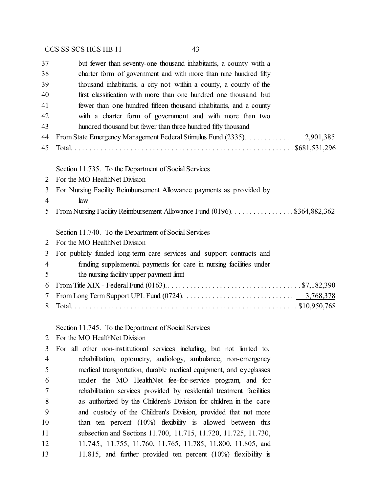| 37 | but fewer than seventy-one thousand inhabitants, a county with a         |
|----|--------------------------------------------------------------------------|
| 38 | charter form of government and with more than nine hundred fifty         |
| 39 | thousand inhabitants, a city not within a county, a county of the        |
| 40 | first classification with more than one hundred one thousand but         |
| 41 | fewer than one hundred fifteen thousand inhabitants, and a county        |
| 42 | with a charter form of government and with more than two                 |
| 43 | hundred thousand but fewer than three hundred fifty thousand             |
| 44 | From State Emergency Management Federal Stimulus Fund (2335). 2,901,385  |
| 45 |                                                                          |
|    | Section 11.735. To the Department of Social Services                     |
| 2  | For the MO HealthNet Division                                            |
| 3  | For Nursing Facility Reimbursement Allowance payments as provided by     |
| 4  | law                                                                      |
| 5  | From Nursing Facility Reimbursement Allowance Fund (0196). \$364,882,362 |
|    | Section 11.740. To the Department of Social Services                     |
| 2  | For the MO HealthNet Division                                            |
| 3  | For publicly funded long-term care services and support contracts and    |
| 4  | funding supplemental payments for care in nursing facilities under       |
| 5  | the nursing facility upper payment limit                                 |
| 6  |                                                                          |
| 7  |                                                                          |
|    |                                                                          |

Total. . . . . . . . . . . . . . . . . . . . . . . . . . . . . . . . . . . . . . . . . . . . . . . . . . . . . . . . . . . . . \$10,950,768

Section 11.745. To the Department of Social Services

For the MO HealthNet Division

 For all other non-institutional services including, but not limited to, rehabilitation, optometry, audiology, ambulance, non-emergency medical transportation, durable medical equipment, and eyeglasses under the MO HealthNet fee-for-service program, and for rehabilitation services provided by residential treatment facilities as authorized by the Children's Division for children in the care and custody of the Children's Division, provided that not more than ten percent (10%) flexibility is allowed between this subsection and Sections 11.700, 11.715, 11.720, 11.725, 11.730, 11.745, 11.755, 11.760, 11.765, 11.785, 11.800, 11.805, and 11.815, and further provided ten percent (10%) flexibility is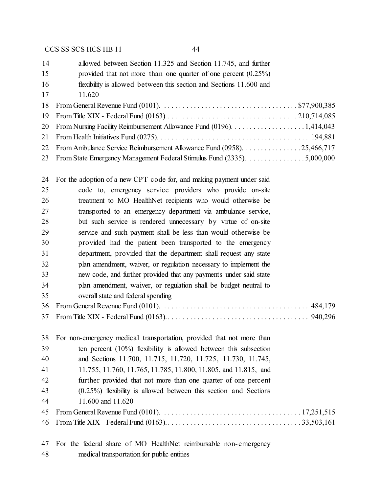| 14 | allowed between Section 11.325 and Section 11.745, and further             |
|----|----------------------------------------------------------------------------|
| 15 | provided that not more than one quarter of one percent $(0.25\%)$          |
| 16 | flexibility is allowed between this section and Sections 11.600 and        |
| 17 | 11.620                                                                     |
|    |                                                                            |
|    |                                                                            |
|    |                                                                            |
|    |                                                                            |
|    | 22 From Ambulance Service Reimbursement Allowance Fund (0958). 25,466,717  |
|    | 23 From State Emergency Management Federal Stimulus Fund (2335). 5,000,000 |
|    |                                                                            |

 For the adoption of a new CPT code for, and making payment under said code to, emergency service providers who provide on-site treatment to MO HealthNet recipients who would otherwise be transported to an emergency department via ambulance service, but such service is rendered unnecessary by virtue of on-site service and such payment shall be less than would otherwise be provided had the patient been transported to the emergency department, provided that the department shall request any state plan amendment, waiver, or regulation necessary to implement the new code, and further provided that any payments under said state plan amendment, waiver, or regulation shall be budget neutral to overall state and federal spending From General Revenue Fund (0101). . . . . . . . . . . . . . . . . . . . . . . . . . . . . . . . . . . . . . . . 484,179 From Title XIX - Federal Fund (0163).. . . . . . . . . . . . . . . . . . . . . . . . . . . . . . . . . . . . . . 940,296 For non-emergency medical transportation, provided that not more than ten percent (10%) flexibility is allowed between this subsection and Sections 11.700, 11.715, 11.720, 11.725, 11.730, 11.745, 11.755, 11.760, 11.765, 11.785, 11.800, 11.805, and 11.815, and further provided that not more than one quarter of one percent

 (0.25%) flexibility is allowed between this section and Sections 11.600 and 11.620

 For the federal share of MO HealthNet reimbursable non-emergency medical transportation for public entities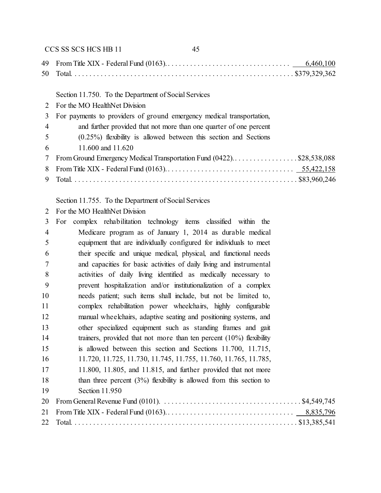|                | CCS SS SCS HCS HB 11<br>45                                            |
|----------------|-----------------------------------------------------------------------|
| 49.            |                                                                       |
| 50             |                                                                       |
|                | Section 11.750. To the Department of Social Services                  |
| $\mathcal{L}$  | For the MO HealthNet Division                                         |
| 3              | For payments to providers of ground emergency medical transportation, |
| $\overline{4}$ | and further provided that not more than one quarter of one percent    |
| 5              | $(0.25\%)$ flexibility is allowed between this section and Sections   |
| 6              | 11.600 and 11.620                                                     |
| 7              | From Ground Emergency Medical Transportation Fund (0422)\$28,538,088  |
| 8              |                                                                       |
| 9              |                                                                       |
|                |                                                                       |

# Section 11.755. To the Department of Social Services

| For the MO HealthNet Division<br>2 |
|------------------------------------|
|------------------------------------|

| 3              | complex rehabilitation technology items classified within the<br>For   |  |
|----------------|------------------------------------------------------------------------|--|
| $\overline{4}$ | Medicare program as of January 1, 2014 as durable medical              |  |
| 5              | equipment that are individually configured for individuals to meet     |  |
| 6              | their specific and unique medical, physical, and functional needs      |  |
| 7              | and capacities for basic activities of daily living and instrumental   |  |
| 8              | activities of daily living identified as medically necessary to        |  |
| 9              | prevent hospitalization and/or institutionalization of a complex       |  |
| 10             | needs patient; such items shall include, but not be limited to,        |  |
| 11             | complex rehabilitation power wheelchairs, highly configurable          |  |
| 12             | manual wheelchairs, adaptive seating and positioning systems, and      |  |
| 13             | other specialized equipment such as standing frames and gait           |  |
| 14             | trainers, provided that not more than ten percent $(10\%)$ flexibility |  |
| 15             | is allowed between this section and Sections 11.700, 11.715,           |  |
| 16             | 11.720, 11.725, 11.730, 11.745, 11.755, 11.760, 11.765, 11.785,        |  |
| 17             | 11.800, 11.805, and 11.815, and further provided that not more         |  |
| 18             | than three percent $(3%)$ flexibility is allowed from this section to  |  |
| 19             | Section 11.950                                                         |  |
| 20             |                                                                        |  |
| 21             |                                                                        |  |
| 22             |                                                                        |  |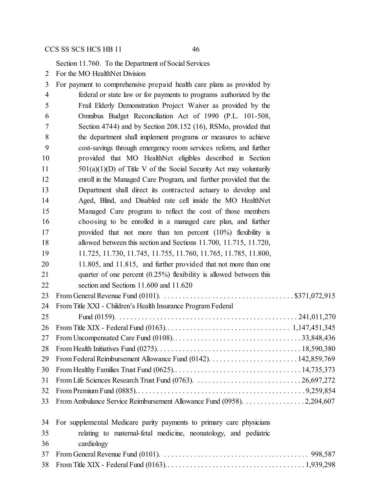Section 11.760. To the Department of Social Services

For the MO HealthNet Division

| 3              | For payment to comprehensive prepaid health care plans as provided by |
|----------------|-----------------------------------------------------------------------|
| $\overline{4}$ | federal or state law or for payments to programs authorized by the    |
| 5              | Frail Elderly Demonstration Project Waiver as provided by the         |
| 6              | Omnibus Budget Reconciliation Act of 1990 (P.L. 101-508,              |
| 7              | Section 4744) and by Section 208.152 (16), RSMo, provided that        |
| 8              | the department shall implement programs or measures to achieve        |
| 9              | cost-savings through emergency room services reform, and further      |
| 10             | provided that MO HealthNet eligibles described in Section             |
| 11             | $501(a)(1)(D)$ of Title V of the Social Security Act may voluntarily  |
| 12             | enroll in the Managed Care Program, and further provided that the     |
| 13             | Department shall direct its contracted actuary to develop and         |
| 14             | Aged, Blind, and Disabled rate cell inside the MO HealthNet           |
| 15             | Managed Care program to reflect the cost of those members             |
| 16             | choosing to be enrolled in a managed care plan, and further           |
| 17             | provided that not more than ten percent $(10\%)$ flexibility is       |
| 18             | allowed between this section and Sections 11.700, 11.715, 11.720,     |
| 19             | 11.725, 11.730, 11.745, 11.755, 11.760, 11.765, 11.785, 11.800,       |
| 20             | 11.805, and 11.815, and further provided that not more than one       |
| 21             | quarter of one percent $(0.25\%)$ flexibility is allowed between this |
| 22             | section and Sections 11.600 and 11.620                                |
| 23             |                                                                       |
| 24             | From Title XXI - Children's Health Insurance Program Federal          |
| 25             |                                                                       |
| 26             |                                                                       |
| 27             |                                                                       |
| 28             |                                                                       |
| 29             |                                                                       |
| 30             |                                                                       |
| 31             |                                                                       |
| 32             |                                                                       |
| 33             | From Ambulance Service Reimbursement Allowance Fund (0958). 2,204,607 |
| 34             | For supplemental Medicare parity payments to primary care physicians  |
| 35             | relating to maternal-fetal medicine, neonatology, and pediatric       |
| 36             | cardiology                                                            |
| 37             |                                                                       |
| 38             |                                                                       |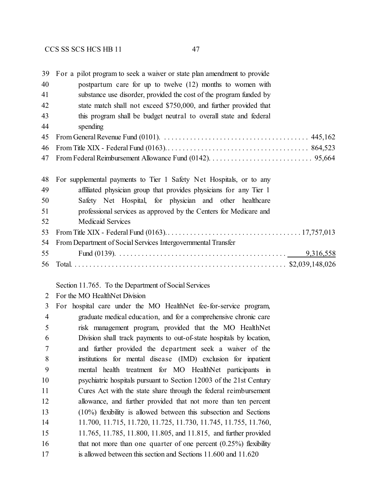| 39 | For a pilot program to seek a waiver or state plan amendment to provide |
|----|-------------------------------------------------------------------------|
| 40 | postpartum care for up to twelve $(12)$ months to women with            |
| 41 | substance use disorder, provided the cost of the program funded by      |
| 42 | state match shall not exceed \$750,000, and further provided that       |
| 43 | this program shall be budget neutral to overall state and federal       |
| 44 | spending                                                                |
| 45 |                                                                         |
| 46 |                                                                         |
| 47 |                                                                         |
|    |                                                                         |
| 48 | For supplemental payments to Tier 1 Safety Net Hospitals, or to any     |
| 49 | affiliated physician group that provides physicians for any Tier 1      |
| 50 | Safety Net Hospital, for physician and other healthcare                 |
| 51 | professional services as approved by the Centers for Medicare and       |
| 52 | Medicaid Services                                                       |
| 53 |                                                                         |
| 54 | From Department of Social Services Intergovernmental Transfer           |
| 55 |                                                                         |
| 56 |                                                                         |

#### Section 11.765. To the Department of Social Services

| For the MO HealthNet Division |  |
|-------------------------------|--|
|                               |  |

 For hospital care under the MO HealthNet fee-for-service program, graduate medical education, and for a comprehensive chronic care risk management program, provided that the MO HealthNet Division shall track payments to out-of-state hospitals by location, and further provided the department seek a waiver of the institutions for mental disease (IMD) exclusion for inpatient mental health treatment for MO HealthNet participants in psychiatric hospitals pursuant to Section 12003 of the 21st Century Cures Act with the state share through the federal reimbursement allowance, and further provided that not more than ten percent (10%) flexibility is allowed between this subsection and Sections 11.700, 11.715, 11.720, 11.725, 11.730, 11.745, 11.755, 11.760, 11.765, 11.785, 11.800, 11.805, and 11.815, and further provided 16 that not more than one quarter of one percent (0.25%) flexibility is allowed between this section and Sections 11.600 and 11.620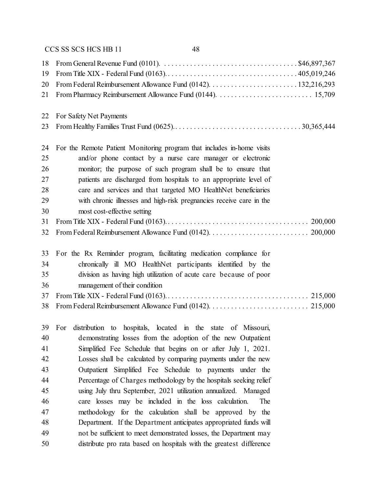| 18 | From General Revenue Fund (0101). $\ldots \ldots \ldots \ldots \ldots \ldots \ldots \ldots \ldots \ldots \ldots$ \$46,897,367 |
|----|-------------------------------------------------------------------------------------------------------------------------------|
| 19 |                                                                                                                               |
| 20 |                                                                                                                               |
| 21 |                                                                                                                               |
| 22 | For Safety Net Payments                                                                                                       |
| 23 |                                                                                                                               |
| 24 | For the Remote Patient Monitoring program that includes in-home visits                                                        |
| 25 | and/or phone contact by a nurse care manager or electronic                                                                    |
| 26 | monitor; the purpose of such program shall be to ensure that                                                                  |
| 27 | patients are discharged from hospitals to an appropriate level of                                                             |
| 28 | care and services and that targeted MO HealthNet beneficiaries                                                                |
| 29 | with chronic illnesses and high-risk pregnancies receive care in the                                                          |
| 30 | most cost-effective setting                                                                                                   |
| 31 |                                                                                                                               |
| 32 |                                                                                                                               |
| 33 | For the Rx Reminder program, facilitating medication compliance for                                                           |
| 34 | chronically ill MO HealthNet participants identified by the                                                                   |
| 35 | division as having high utilization of acute care because of poor                                                             |
| 36 | management of their condition                                                                                                 |
| 37 |                                                                                                                               |
| 38 |                                                                                                                               |

 For distribution to hospitals, located in the state of Missouri, demonstrating losses from the adoption of the new Outpatient Simplified Fee Schedule that begins on or after July 1, 2021. Losses shall be calculated by comparing payments under the new Outpatient Simplified Fee Schedule to payments under the Percentage of Charges methodology by the hospitals seeking relief using July thru September, 2021 utilization annualized. Managed care losses may be included in the loss calculation. The methodology for the calculation shall be approved by the Department. If the Department anticipates appropriated funds will not be sufficient to meet demonstrated losses, the Department may distribute pro rata based on hospitals with the greatest difference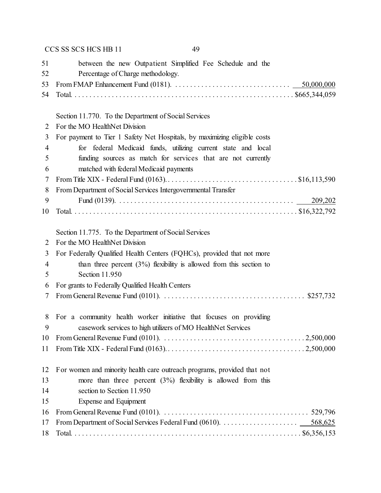|    | CCS SS SCS HCS HB 11<br>49                                                                                                             |
|----|----------------------------------------------------------------------------------------------------------------------------------------|
| 51 | between the new Outpatient Simplified Fee Schedule and the                                                                             |
| 52 | Percentage of Charge methodology.                                                                                                      |
| 53 | From FMAP Enhancement Fund (0181). $\ldots \ldots \ldots \ldots \ldots \ldots \ldots \ldots \ldots \ldots \ldots \ldots 50,000,000$    |
| 54 |                                                                                                                                        |
|    |                                                                                                                                        |
|    | Section 11.770. To the Department of Social Services                                                                                   |
| 2  | For the MO HealthNet Division                                                                                                          |
| 3  | For payment to Tier 1 Safety Net Hospitals, by maximizing eligible costs                                                               |
| 4  | for federal Medicaid funds, utilizing current state and local                                                                          |
| 5  | funding sources as match for services that are not currently                                                                           |
| 6  | matched with federal Medicaid payments                                                                                                 |
| 7  |                                                                                                                                        |
| 8  | From Department of Social Services Intergovernmental Transfer                                                                          |
| 9  |                                                                                                                                        |
| 10 |                                                                                                                                        |
|    |                                                                                                                                        |
| 2  | Section 11.775. To the Department of Social Services<br>For the MO HealthNet Division                                                  |
| 3  | For Federally Qualified Health Centers (FQHCs), provided that not more                                                                 |
| 4  | than three percent $(3\%)$ flexibility is allowed from this section to                                                                 |
| 5  | Section 11.950                                                                                                                         |
| 6  | For grants to Federally Qualified Health Centers                                                                                       |
| 7  | From General Revenue Fund (0101). $\ldots \ldots \ldots \ldots \ldots \ldots \ldots \ldots \ldots \ldots \ldots$ \$257,732             |
|    |                                                                                                                                        |
| 8  | For a community health worker initiative that focuses on providing                                                                     |
| 9  | casework services to high utilizers of MO HealthNet Services                                                                           |
| 10 |                                                                                                                                        |
| 11 |                                                                                                                                        |
|    |                                                                                                                                        |
| 12 | For women and minority health care outreach programs, provided that not                                                                |
| 13 | more than three percent $(3%)$ flexibility is allowed from this                                                                        |
| 14 | section to Section 11.950                                                                                                              |
| 15 | Expense and Equipment                                                                                                                  |
| 16 | From General Revenue Fund (0101). $\ldots \ldots \ldots \ldots \ldots \ldots \ldots \ldots \ldots \ldots \ldots \ldots \ldots$ 529,796 |
| 17 |                                                                                                                                        |
| 18 |                                                                                                                                        |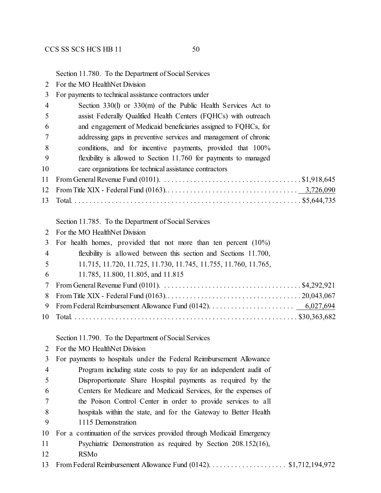Section 11.780. To the Department of Social Services

- For the MO HealthNet Division
- For payments to technical assistance contractors under

| 4  | Section $330(l)$ or $330(m)$ of the Public Health Services Act to                                                            |
|----|------------------------------------------------------------------------------------------------------------------------------|
| 5  | assist Federally Qualified Health Centers (FQHCs) with outreach                                                              |
| 6  | and engagement of Medicaid beneficiaries assigned to FQHCs, for                                                              |
| 7  | addressing gaps in preventive services and management of chronic                                                             |
| 8  | conditions, and for incentive payments, provided that 100%                                                                   |
| 9  | flexibility is allowed to Section 11.760 for payments to managed                                                             |
| 10 | care organizations for technical assistance contractors                                                                      |
| 11 | From General Revenue Fund (0101). $\ldots \ldots \ldots \ldots \ldots \ldots \ldots \ldots \ldots \ldots \ldots$ \$1,918,645 |
| 12 |                                                                                                                              |
| 13 |                                                                                                                              |
|    |                                                                                                                              |
|    | Section 11.785. To the Department of Social Services                                                                         |
| 2  | For the MO HealthNet Division                                                                                                |
| 3  | For health homes, provided that not more than ten percent $(10\%)$                                                           |
| 4  | flexibility is allowed between this section and Sections 11.700,                                                             |
| 5  | 11.715, 11.720, 11.725, 11.730, 11.745, 11.755, 11.760, 11.765,                                                              |
| 6  | 11.785, 11.800, 11.805, and 11.815                                                                                           |
| 7  | From General Revenue Fund (0101). $\ldots \ldots \ldots \ldots \ldots \ldots \ldots \ldots \ldots \ldots \ldots$ \$4,292,921 |
| 8  |                                                                                                                              |
| 9  |                                                                                                                              |
| 10 |                                                                                                                              |

Section 11.790. To the Department of Social Services

For the MO HealthNet Division

For payments to hospitals under the Federal Reimbursement Allowance

- Program including state costs to pay for an independent audit of Disproportionate Share Hospital payments as required by the Centers for Medicare and Medicaid Services, for the expenses of the Poison Control Center in order to provide services to all hospitals within the state, and for the Gateway to Better Health
- 1115 Demonstration

|  | 10 For a continuation of the services provided through Medicaid Emergency |  |  |  |
|--|---------------------------------------------------------------------------|--|--|--|
|  |                                                                           |  |  |  |

- Psychiatric Demonstration as required by Section 208.152(16),
- RSMo
- 13 From Federal Reimbursement Allowance Fund (0142). . . . . . . . . . . . . . . . . . \$1,712,194,972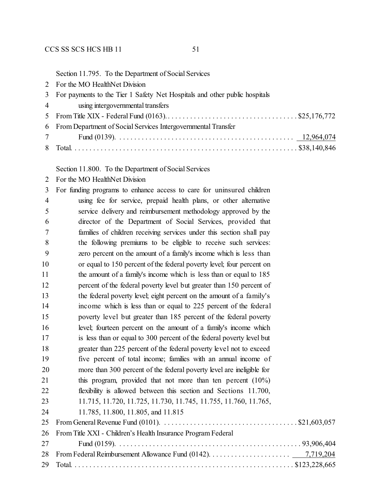|  | Section 11.795. To the Department of Social Services |  |
|--|------------------------------------------------------|--|
|--|------------------------------------------------------|--|

| For the MO HealthNet Division<br>$\mathbf{2}^{\mathsf{I}}$ |  |
|------------------------------------------------------------|--|
|------------------------------------------------------------|--|

# For payments to the Tier 1 Safety Net Hospitals and other public hospitals

- using intergovernmental transfers
- From Title XIX Federal Fund (0163).. . . . . . . . . . . . . . . . . . . . . . . . . . . . . . . . . . . \$25,176,772

| 6 From Department of Social Services Intergovernmental Transfer |  |
|-----------------------------------------------------------------|--|
|                                                                 |  |

Total. . . . . . . . . . . . . . . . . . . . . . . . . . . . . . . . . . . . . . . . . . . . . . . . . . . . . . . . . . . . . \$38,140,846

Section 11.800. To the Department of Social Services

For the MO HealthNet Division

| 3              | For funding programs to enhance access to care for uninsured children |
|----------------|-----------------------------------------------------------------------|
| $\overline{4}$ | using fee for service, prepaid health plans, or other alternative     |
| 5              | service delivery and reimbursement methodology approved by the        |
| 6              | director of the Department of Social Services, provided that          |
| 7              | families of children receiving services under this section shall pay  |
| 8              | the following premiums to be eligible to receive such services:       |
| 9              | zero percent on the amount of a family's income which is less than    |
| 10             | or equal to 150 percent of the federal poverty level; four percent on |
| 11             | the amount of a family's income which is less than or equal to 185    |
| 12             | percent of the federal poverty level but greater than 150 percent of  |
| 13             | the federal poverty level; eight percent on the amount of a family's  |
| 14             | income which is less than or equal to 225 percent of the federal      |
| 15             | poverty level but greater than 185 percent of the federal poverty     |
| 16             | level; fourteen percent on the amount of a family's income which      |
| 17             | is less than or equal to 300 percent of the federal poverty level but |
| 18             | greater than 225 percent of the federal poverty level not to exceed   |
| 19             | five percent of total income; families with an annual income of       |
| 20             | more than 300 percent of the federal poverty level are ineligible for |
| 21             | this program, provided that not more than ten percent $(10\%)$        |
| 22             | flexibility is allowed between this section and Sections 11.700,      |
| 23             | 11.715, 11.720, 11.725, 11.730, 11.745, 11.755, 11.760, 11.765,       |
| 24             | 11.785, 11.800, 11.805, and 11.815                                    |
| 25             |                                                                       |
| 26             | From Title XXI - Children's Health Insurance Program Federal          |
| 27             |                                                                       |
| 28             |                                                                       |
| 29             |                                                                       |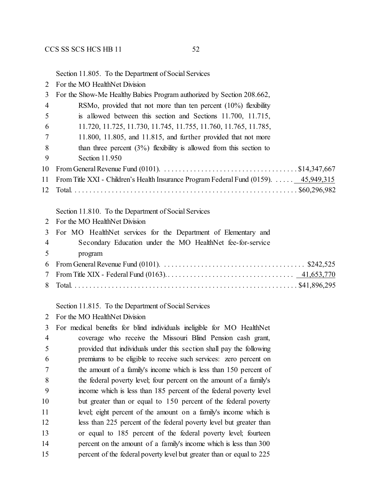Section 11.805. To the Department of Social Services

For the MO HealthNet Division

| 3                     | For the Show-Me Healthy Babies Program authorized by Section 208.662,                                                         |
|-----------------------|-------------------------------------------------------------------------------------------------------------------------------|
| $\overline{4}$        | RSMo, provided that not more than ten percent $(10\%)$ flexibility                                                            |
| 5                     | is allowed between this section and Sections 11.700, 11.715,                                                                  |
| 6                     | 11.720, 11.725, 11.730, 11.745, 11.755, 11.760, 11.765, 11.785,                                                               |
|                       | $11.800$ , $11.805$ , and $11.815$ , and further provided that not more                                                       |
| 8                     | than three percent $(3\%)$ flexibility is allowed from this section to                                                        |
| 9                     | Section 11.950                                                                                                                |
| 10                    | From General Revenue Fund (0101). $\ldots \ldots \ldots \ldots \ldots \ldots \ldots \ldots \ldots \ldots \ldots$ \$14,347,667 |
| 11                    | From Title XXI - Children's Health Insurance Program Federal Fund $(0159)$ .  45,949,315                                      |
| 12                    |                                                                                                                               |
|                       |                                                                                                                               |
|                       | Section 11.810. To the Department of Social Services                                                                          |
| $\mathcal{D}_{\cdot}$ | For the MO HealthNet Division                                                                                                 |
| 3                     | For MO HealthNet services for the Department of Elementary and                                                                |
| 4                     | Secondary Education under the MO HealthNet fee-for-service                                                                    |
| 5                     | program                                                                                                                       |

#### Section 11.815. To the Department of Social Services

For the MO HealthNet Division

 For medical benefits for blind individuals ineligible for MO HealthNet coverage who receive the Missouri Blind Pension cash grant, provided that individuals under this section shall pay the following premiums to be eligible to receive such services: zero percent on the amount of a family's income which is less than 150 percent of the federal poverty level; four percent on the amount of a family's income which is less than 185 percent of the federal poverty level but greater than or equal to 150 percent of the federal poverty 11 level; eight percent of the amount on a family's income which is 12 less than 225 percent of the federal poverty level but greater than or equal to 185 percent of the federal poverty level; fourteen percent on the amount of a family's income which is less than 300 percent of the federal poverty level but greater than or equal to 225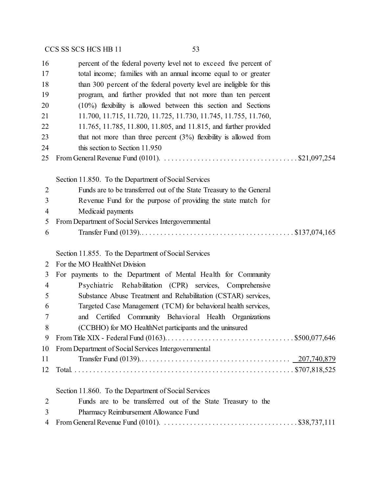| 16             | percent of the federal poverty level not to exceed five percent of                                                     |
|----------------|------------------------------------------------------------------------------------------------------------------------|
| 17             | total income; families with an annual income equal to or greater                                                       |
| 18             | than 300 percent of the federal poverty level are ineligible for this                                                  |
| 19             | program, and further provided that not more than ten percent                                                           |
| 20             | $(10\%)$ flexibility is allowed between this section and Sections                                                      |
| 21             | 11.700, 11.715, 11.720, 11.725, 11.730, 11.745, 11.755, 11.760,                                                        |
| 22             | 11.765, 11.785, 11.800, 11.805, and 11.815, and further provided                                                       |
| 23             | that not more than three percent $(3%)$ flexibility is allowed from                                                    |
| 24             | this section to Section 11.950                                                                                         |
| 25             |                                                                                                                        |
|                | Section 11.850. To the Department of Social Services                                                                   |
| $\overline{2}$ | Funds are to be transferred out of the State Treasury to the General                                                   |
| 3              | Revenue Fund for the purpose of providing the state match for                                                          |
| 4              | Medicaid payments                                                                                                      |
| 5              | From Department of Social Services Intergovernmental                                                                   |
| 6              |                                                                                                                        |
|                | Section 11.855. To the Department of Social Services                                                                   |
| 2              | For the MO HealthNet Division                                                                                          |
| 3              | For payments to the Department of Mental Health for Community                                                          |
| 4              | Psychiatric Rehabilitation (CPR) services, Comprehensive                                                               |
| 5              | Substance Abuse Treatment and Rehabilitation (CSTAR) services,                                                         |
| 6              | Targeted Case Management (TCM) for behavioral health services,                                                         |
| 7              | and Certified Community Behavioral Health Organizations                                                                |
| 8              | (CCBHO) for MO HealthNet participants and the uninsured                                                                |
| 9              |                                                                                                                        |
| 10             | From Department of Social Services Intergovernmental                                                                   |
| 11             |                                                                                                                        |
| 12             |                                                                                                                        |
|                | Section 11.860. To the Department of Social Services                                                                   |
| $\overline{2}$ | Funds are to be transferred out of the State Treasury to the                                                           |
| 3              | Pharmacy Reimbursement Allowance Fund                                                                                  |
| 4              | From General Revenue Fund (0101). $\ldots \ldots \ldots \ldots \ldots \ldots \ldots \ldots \ldots \ldots$ \$38,737,111 |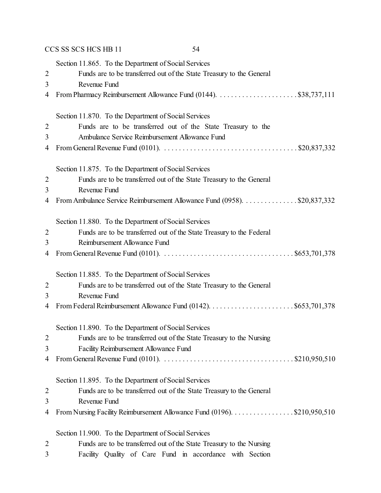|                     | CCS SS SCS HCS HB 11<br>54                                                                                                            |
|---------------------|---------------------------------------------------------------------------------------------------------------------------------------|
|                     | Section 11.865. To the Department of Social Services                                                                                  |
| $\overline{2}$      | Funds are to be transferred out of the State Treasury to the General                                                                  |
| 3                   | Revenue Fund                                                                                                                          |
| 4                   |                                                                                                                                       |
|                     | Section 11.870. To the Department of Social Services                                                                                  |
| $\overline{2}$      | Funds are to be transferred out of the State Treasury to the                                                                          |
| 3                   | Ambulance Service Reimbursement Allowance Fund                                                                                        |
| 4                   | From General Revenue Fund (0101). $\ldots \ldots \ldots \ldots \ldots \ldots \ldots \ldots \ldots \ldots \ldots$ \$20,837,332         |
|                     |                                                                                                                                       |
|                     | Section 11.875. To the Department of Social Services                                                                                  |
| $\overline{2}$      | Funds are to be transferred out of the State Treasury to the General                                                                  |
| 3                   | Revenue Fund                                                                                                                          |
| 4                   | From Ambulance Service Reimbursement Allowance Fund (0958). \$20,837,332                                                              |
|                     | Section 11.880. To the Department of Social Services                                                                                  |
| 2                   | Funds are to be transferred out of the State Treasury to the Federal                                                                  |
| 3                   | Reimbursement Allowance Fund                                                                                                          |
| 4                   | From General Revenue Fund (0101). $\ldots \ldots \ldots \ldots \ldots \ldots \ldots \ldots \ldots \ldots \ldots \ldots$ \$653,701,378 |
|                     |                                                                                                                                       |
|                     | Section 11.885. To the Department of Social Services                                                                                  |
| $\overline{2}$<br>3 | Funds are to be transferred out of the State Treasury to the General<br>Revenue Fund                                                  |
| 4                   |                                                                                                                                       |
|                     |                                                                                                                                       |
|                     | Section 11.890. To the Department of Social Services                                                                                  |
| $\overline{2}$      | Funds are to be transferred out of the State Treasury to the Nursing                                                                  |
| 3                   | Facility Reimbursement Allowance Fund                                                                                                 |
| 4                   | From General Revenue Fund (0101). $\ldots \ldots \ldots \ldots \ldots \ldots \ldots \ldots \ldots \ldots$ \$210,950,510               |
|                     | Section 11.895. To the Department of Social Services                                                                                  |
| $\overline{2}$      | Funds are to be transferred out of the State Treasury to the General                                                                  |
| 3                   | Revenue Fund                                                                                                                          |
| 4                   | From Nursing Facility Reimbursement Allowance Fund (0196). \$210,950,510                                                              |
|                     |                                                                                                                                       |
|                     | Section 11.900. To the Department of Social Services                                                                                  |
| $\overline{2}$      | Funds are to be transferred out of the State Treasury to the Nursing                                                                  |
| 3                   | Facility Quality of Care Fund in accordance with Section                                                                              |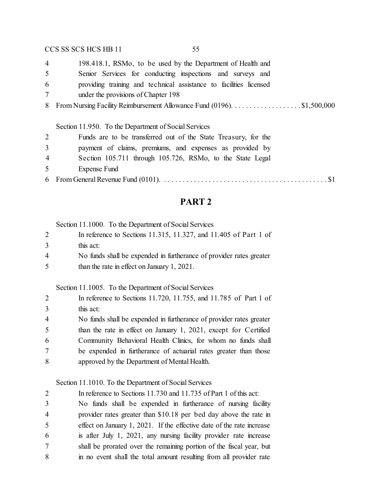198.418.1, RSMo, to be used by the Department of Health and

- Senior Services for conducting inspections and surveys and
- providing training and technical assistance to facilities licensed
- under the provisions of Chapter 198
- 8 From Nursing Facility Reimbursement Allowance Fund (0196). . . . . . . . . . . . . . . . . \$1,500,000

#### Section 11.950. To the Department of Social Services

|  |  | Funds are to be transferred out of the State Treasury, for the |  |  |  |
|--|--|----------------------------------------------------------------|--|--|--|
|  |  |                                                                |  |  |  |

- payment of claims, premiums, and expenses as provided by
- Section 105.711 through 105.726, RSMo, to the State Legal
- Expense Fund
- From General Revenue Fund (0101). . . . . . . . . . . . . . . . . . . . . . . . . . . . . . . . . . . . . . . . . . . . . \$1

# **PART 2**

Section 11.1000. To the Department of Social Services

- In reference to Sections 11.315, 11.327, and 11.405 of Part 1 of this act:
- No funds shall be expended in furtherance of provider rates greater than the rate in effect on January 1, 2021.

Section 11.1005. To the Department of Social Services

| 2              | In reference to Sections 11.720, 11.755, and 11.785 of Part 1 of    |
|----------------|---------------------------------------------------------------------|
| 3              | this act:                                                           |
| $\overline{4}$ | No funds shall be expended in furtherance of provider rates greater |
| 5              | than the rate in effect on January 1, 2021, except for Certified    |
| 6              | Community Behavioral Health Clinics, for whom no funds shall        |
| $\tau$         | be expended in furtherance of actuarial rates greater than those    |
| 8              | approved by the Department of Mental Health.                        |

### Section 11.1010. To the Department of Social Services

 In reference to Sections 11.730 and 11.735 of Part 1 of this act: No funds shall be expended in furtherance of nursing facility provider rates greater than \$10.18 per bed day above the rate in effect on January 1, 2021. If the effective date of the rate increase is after July 1, 2021, any nursing facility provider rate increase shall be prorated over the remaining portion of the fiscal year, but in no event shall the total amount resulting from all provider rate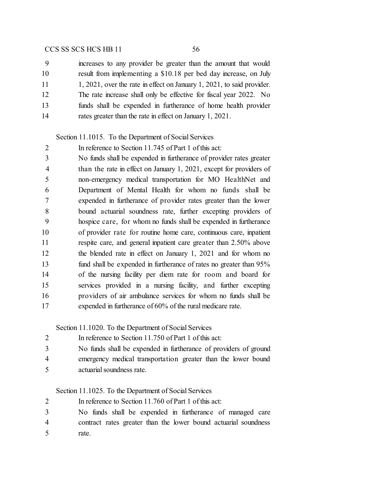| 9  | increases to any provider be greater than the amount that would        |
|----|------------------------------------------------------------------------|
| 10 | result from implementing a \$10.18 per bed day increase, on July       |
| 11 | 1, 2021, over the rate in effect on January 1, 2021, to said provider. |
| 12 | The rate increase shall only be effective for fiscal year 2022. No     |
| 13 | funds shall be expended in furtherance of home health provider         |
| 14 | rates greater than the rate in effect on January 1, 2021.              |

#### Section 11.1015. To the Department of Social Services

 In reference to Section 11.745 of Part 1 of this act: No funds shall be expended in furtherance of provider rates greater than the rate in effect on January 1, 2021, except for providers of non-emergency medical transportation for MO HealthNet and Department of Mental Health for whom no funds shall be expended in furtherance of provider rates greater than the lower bound actuarial soundness rate, further excepting providers of hospice care, for whom no funds shall be expended in furtherance of provider rate for routine home care, continuous care, inpatient respite care, and general inpatient care greater than 2.50% above the blended rate in effect on January 1, 2021 and for whom no fund shall be expended in furtherance of rates no greater than 95% of the nursing facility per diem rate for room and board for services provided in a nursing facility, and further excepting providers of air ambulance services for whom no funds shall be expended in furtherance of 60% of the rural medicare rate.

Section 11.1020. To the Department of Social Services

| In reference to Section 11.750 of Part 1 of this act: |
|-------------------------------------------------------|
|                                                       |

- No funds shall be expended in furtherance of providers of ground
- emergency medical transportation greater than the lower bound actuarial soundness rate.

Section 11.1025. To the Department of Social Services

In reference to Section 11.760 of Part 1 of this act:

- No funds shall be expended in furtherance of managed care contract rates greater than the lower bound actuarial soundness
- rate.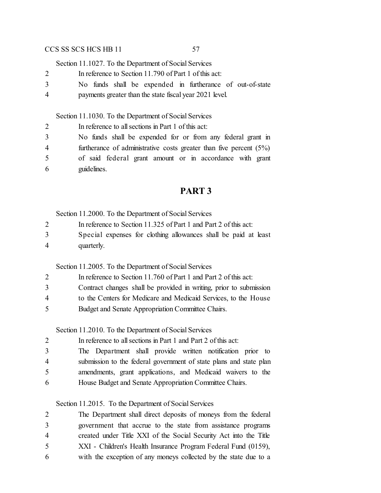Section 11.1027. To the Department of Social Services

- In reference to Section 11.790 of Part 1 of this act:
- No funds shall be expended in furtherance of out-of-state
- payments greater than the state fiscal year 2021 level.

Section 11.1030. To the Department of Social Services

| 2 | In reference to all sections in Part 1 of this act:                   |
|---|-----------------------------------------------------------------------|
| 3 | No funds shall be expended for or from any federal grant in           |
| 4 | furtherance of administrative costs greater than five percent $(5\%)$ |
| 5 | of said federal grant amount or in accordance with grant              |
| 6 | guidelines.                                                           |

# **PART 3**

Section 11.2000. To the Department of Social Services

- In reference to Section 11.325 of Part 1 and Part 2 of this act:
- Special expenses for clothing allowances shall be paid at least quarterly.

Section 11.2005. To the Department of Social Services

- In reference to Section 11.760 of Part 1 and Part 2 of this act:
- Contract changes shall be provided in writing, prior to submission
- to the Centers for Medicare and Medicaid Services, to the House
- Budget and Senate Appropriation Committee Chairs.

Section 11.2010. To the Department of Social Services

| 2 | In reference to all sections in Part 1 and Part 2 of this act:     |
|---|--------------------------------------------------------------------|
| 3 | The Department shall provide written notification prior to         |
| 4 | submission to the federal government of state plans and state plan |
| 5 | amendments, grant applications, and Medicaid waivers to the        |
| 6 | House Budget and Senate Appropriation Committee Chairs.            |

Section 11.2015. To the Department of Social Services

| 2 | The Department shall direct deposits of moneys from the federal   |
|---|-------------------------------------------------------------------|
| 3 | government that accrue to the state from assistance programs      |
| 4 | created under Title XXI of the Social Security Act into the Title |
| 5 | XXI - Children's Health Insurance Program Federal Fund (0159),    |
| 6 | with the exception of any moneys collected by the state due to a  |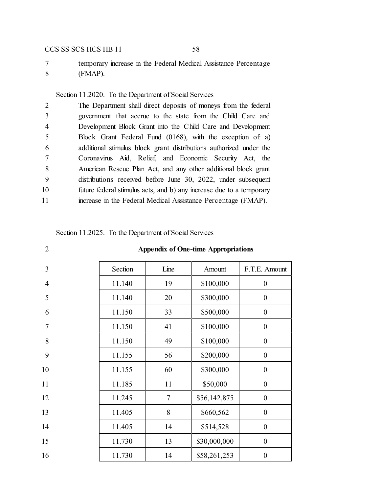temporary increase in the Federal Medical Assistance Percentage (FMAP).

# Section 11.2020. To the Department of Social Services

| 2  | The Department shall direct deposits of moneys from the federal      |
|----|----------------------------------------------------------------------|
| 3  | government that accrue to the state from the Child Care and          |
| 4  | Development Block Grant into the Child Care and Development          |
| 5  | Block Grant Federal Fund (0168), with the exception of a)            |
| 6  | additional stimulus block grant distributions authorized under the   |
| 7  | Coronavirus Aid, Relief, and Economic Security Act, the              |
| 8  | American Rescue Plan Act, and any other additional block grant       |
| 9  | distributions received before June 30, 2022, under subsequent        |
| 10 | future federal stimulus acts, and b) any increase due to a temporary |
| 11 | increase in the Federal Medical Assistance Percentage (FMAP).        |
|    |                                                                      |

#### Section 11.2025. To the Department of Social Services

| $\overline{2}$ | <b>Appendix of One-time Appropriations</b> |                |              |                  |
|----------------|--------------------------------------------|----------------|--------------|------------------|
| 3              | Section                                    | Line           | Amount       | F.T.E. Amount    |
| $\overline{4}$ | 11.140                                     | 19             | \$100,000    | $\mathbf{0}$     |
| 5              | 11.140                                     | 20             | \$300,000    | $\boldsymbol{0}$ |
| 6              | 11.150                                     | 33             | \$500,000    | $\boldsymbol{0}$ |
| $\overline{7}$ | 11.150                                     | 41             | \$100,000    | $\boldsymbol{0}$ |
| 8              | 11.150                                     | 49             | \$100,000    | $\boldsymbol{0}$ |
| 9              | 11.155                                     | 56             | \$200,000    | $\boldsymbol{0}$ |
| 10             | 11.155                                     | 60             | \$300,000    | $\overline{0}$   |
| 11             | 11.185                                     | 11             | \$50,000     | $\boldsymbol{0}$ |
| 12             | 11.245                                     | $\overline{7}$ | \$56,142,875 | $\mathbf{0}$     |
| 13             | 11.405                                     | 8              | \$660,562    | $\boldsymbol{0}$ |
| 14             | 11.405                                     | 14             | \$514,528    | $\boldsymbol{0}$ |
| 15             | 11.730                                     | 13             | \$30,000,000 | $\boldsymbol{0}$ |
| 16             | 11.730                                     | 14             | \$58,261,253 | $\boldsymbol{0}$ |